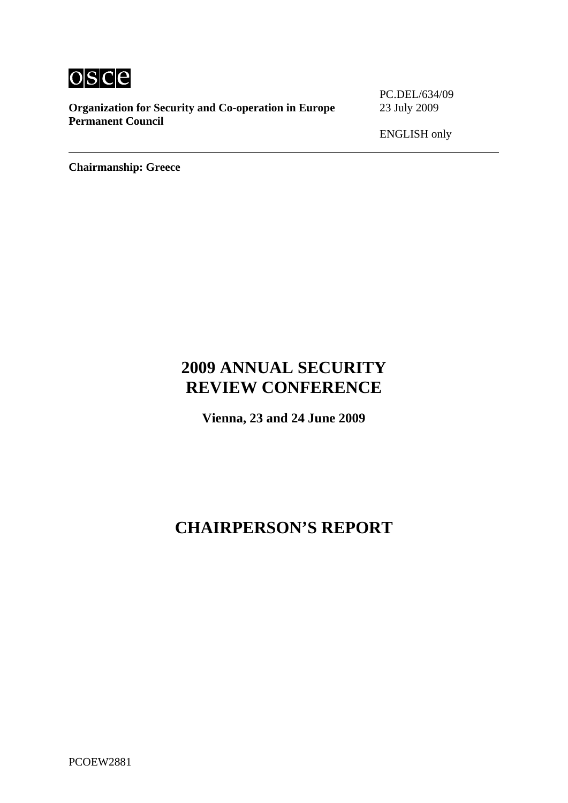

**Organization for Security and Co-operation in Europe** 23 July 2009 **Permanent Council** 

PC.DEL/634/09

ENGLISH only

**Chairmanship: Greece**

# **2009 ANNUAL SECURITY REVIEW CONFERENCE**

**Vienna, 23 and 24 June 2009** 

# **CHAIRPERSON'S REPORT**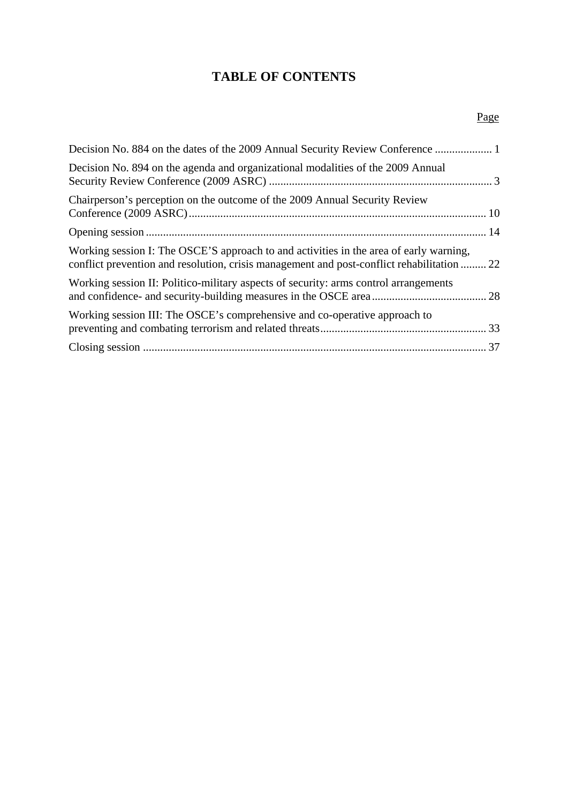# **TABLE OF CONTENTS**

| Decision No. 894 on the agenda and organizational modalities of the 2009 Annual                                                                                                      |  |
|--------------------------------------------------------------------------------------------------------------------------------------------------------------------------------------|--|
| Chairperson's perception on the outcome of the 2009 Annual Security Review                                                                                                           |  |
|                                                                                                                                                                                      |  |
| Working session I: The OSCE'S approach to and activities in the area of early warning,<br>conflict prevention and resolution, crisis management and post-conflict rehabilitation  22 |  |
| Working session II: Politico-military aspects of security: arms control arrangements                                                                                                 |  |
| Working session III: The OSCE's comprehensive and co-operative approach to                                                                                                           |  |
|                                                                                                                                                                                      |  |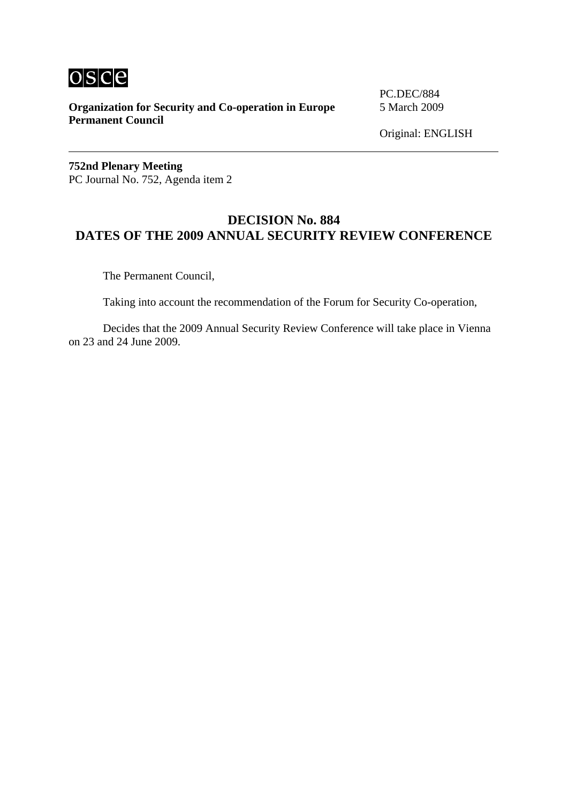

**Organization for Security and Co-operation in Europe** 5 March 2009 **Permanent Council**

PC.DEC/884

Original: ENGLISH

**752nd Plenary Meeting**  PC Journal No. 752, Agenda item 2

# **DECISION No. 884 DATES OF THE 2009 ANNUAL SECURITY REVIEW CONFERENCE**

The Permanent Council,

Taking into account the recommendation of the Forum for Security Co-operation,

 Decides that the 2009 Annual Security Review Conference will take place in Vienna on 23 and 24 June 2009.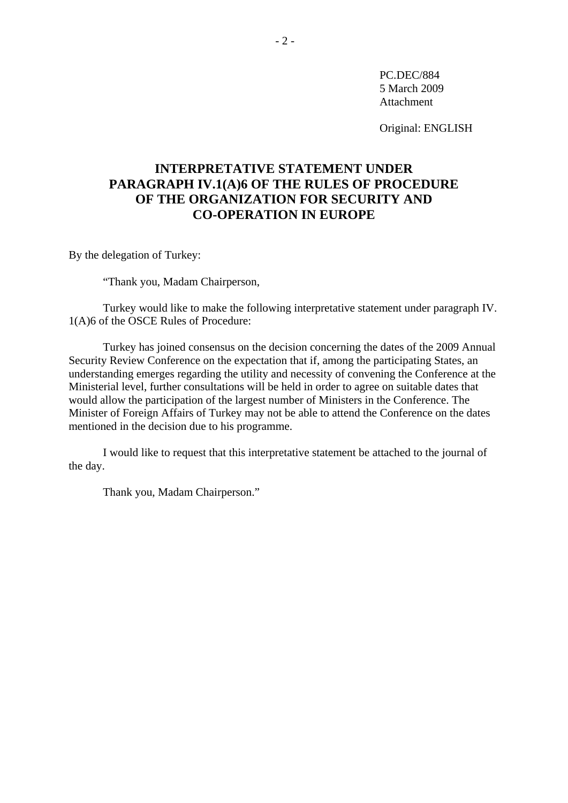PC.DEC/884 5 March 2009 Attachment

Original: ENGLISH

# **INTERPRETATIVE STATEMENT UNDER PARAGRAPH IV.1(A)6 OF THE RULES OF PROCEDURE OF THE ORGANIZATION FOR SECURITY AND CO-OPERATION IN EUROPE**

By the delegation of Turkey:

"Thank you, Madam Chairperson,

 Turkey would like to make the following interpretative statement under paragraph IV. 1(A)6 of the OSCE Rules of Procedure:

 Turkey has joined consensus on the decision concerning the dates of the 2009 Annual Security Review Conference on the expectation that if, among the participating States, an understanding emerges regarding the utility and necessity of convening the Conference at the Ministerial level, further consultations will be held in order to agree on suitable dates that would allow the participation of the largest number of Ministers in the Conference. The Minister of Foreign Affairs of Turkey may not be able to attend the Conference on the dates mentioned in the decision due to his programme.

 I would like to request that this interpretative statement be attached to the journal of the day.

Thank you, Madam Chairperson."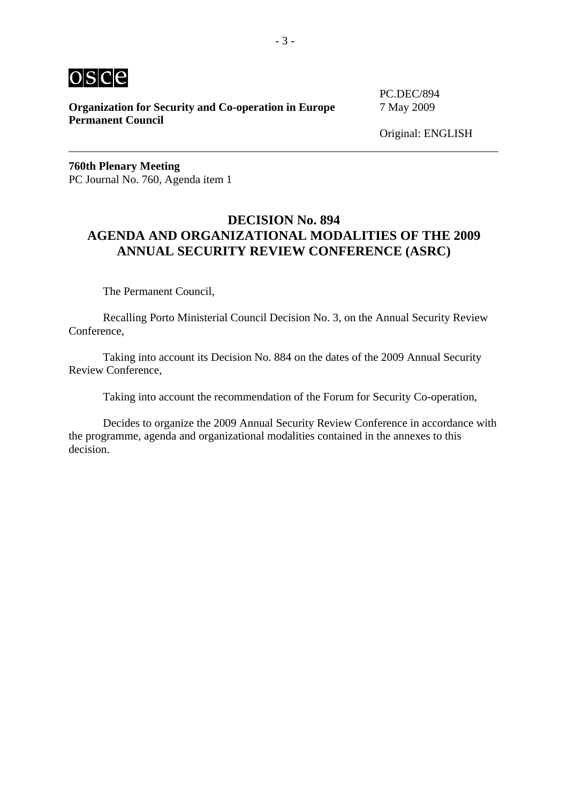

**Organization for Security and Co-operation in Europe** 7 May 2009 **Permanent Council** 

PC.DEC/894

**760th Plenary Meeting**  PC Journal No. 760, Agenda item 1

# **DECISION No. 894 AGENDA AND ORGANIZATIONAL MODALITIES OF THE 2009 ANNUAL SECURITY REVIEW CONFERENCE (ASRC)**

The Permanent Council,

 Recalling Porto Ministerial Council Decision No. 3, on the Annual Security Review Conference,

 Taking into account its Decision No. 884 on the dates of the 2009 Annual Security Review Conference,

Taking into account the recommendation of the Forum for Security Co-operation,

 Decides to organize the 2009 Annual Security Review Conference in accordance with the programme, agenda and organizational modalities contained in the annexes to this decision.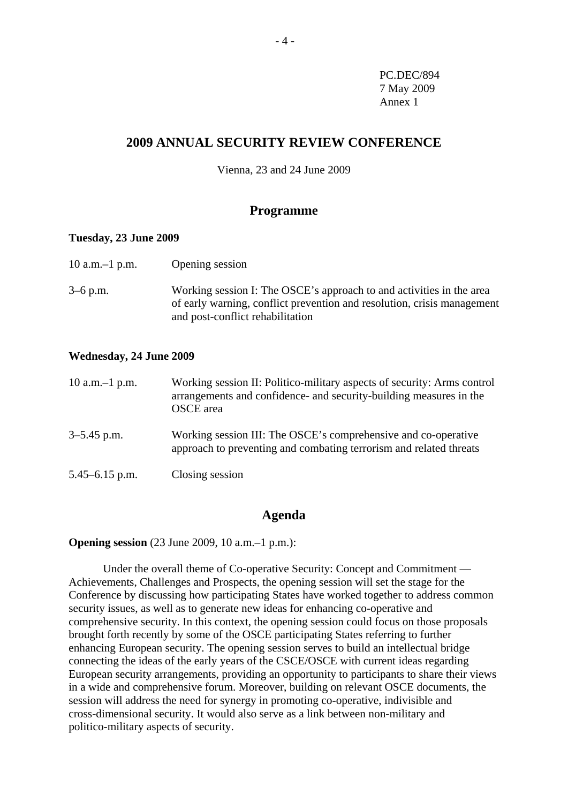PC.DEC/894 7 May 2009 Annex 1

# **2009 ANNUAL SECURITY REVIEW CONFERENCE**

Vienna, 23 and 24 June 2009

### **Programme**

#### **Tuesday, 23 June 2009**

| 10 a.m. $-1$ p.m. | Opening session                                                                                                                                                                     |
|-------------------|-------------------------------------------------------------------------------------------------------------------------------------------------------------------------------------|
| 3–6 p.m.          | Working session I: The OSCE's approach to and activities in the area<br>of early warning, conflict prevention and resolution, crisis management<br>and post-conflict rehabilitation |

#### **Wednesday, 24 June 2009**

| 10 a.m. $-1$ p.m. | Working session II: Politico-military aspects of security: Arms control<br>arrangements and confidence- and security-building measures in the<br><b>OSCE</b> area |
|-------------------|-------------------------------------------------------------------------------------------------------------------------------------------------------------------|
| 3–5.45 p.m.       | Working session III: The OSCE's comprehensive and co-operative<br>approach to preventing and combating terrorism and related threats                              |
| 5.45–6.15 p.m.    | Closing session                                                                                                                                                   |

### **Agenda**

**Opening session** (23 June 2009, 10 a.m.–1 p.m.):

 Under the overall theme of Co-operative Security: Concept and Commitment — Achievements, Challenges and Prospects, the opening session will set the stage for the Conference by discussing how participating States have worked together to address common security issues, as well as to generate new ideas for enhancing co-operative and comprehensive security. In this context, the opening session could focus on those proposals brought forth recently by some of the OSCE participating States referring to further enhancing European security. The opening session serves to build an intellectual bridge connecting the ideas of the early years of the CSCE/OSCE with current ideas regarding European security arrangements, providing an opportunity to participants to share their views in a wide and comprehensive forum. Moreover, building on relevant OSCE documents, the session will address the need for synergy in promoting co-operative, indivisible and cross-dimensional security. It would also serve as a link between non-military and politico-military aspects of security.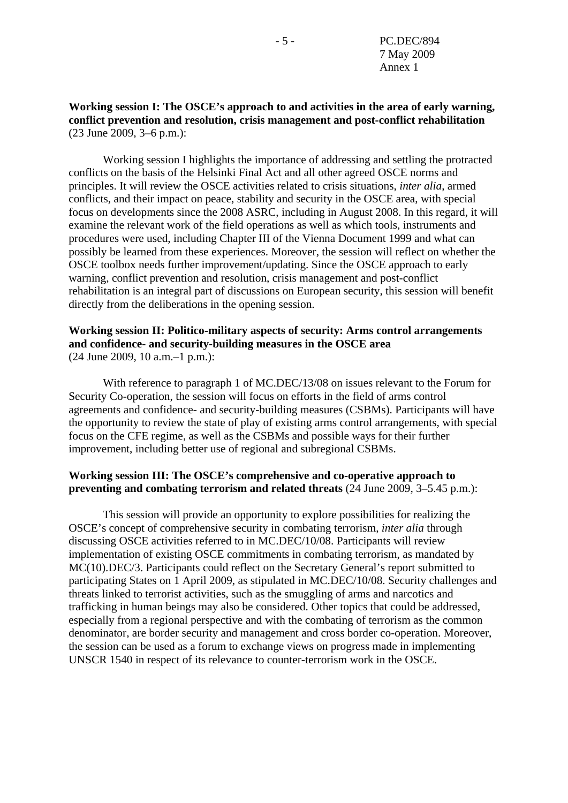**Working session I: The OSCE's approach to and activities in the area of early warning, conflict prevention and resolution, crisis management and post-conflict rehabilitation**  (23 June 2009, 3–6 p.m.):

 Working session I highlights the importance of addressing and settling the protracted conflicts on the basis of the Helsinki Final Act and all other agreed OSCE norms and principles. It will review the OSCE activities related to crisis situations, *inter alia*, armed conflicts, and their impact on peace, stability and security in the OSCE area, with special focus on developments since the 2008 ASRC, including in August 2008. In this regard, it will examine the relevant work of the field operations as well as which tools, instruments and procedures were used, including Chapter III of the Vienna Document 1999 and what can possibly be learned from these experiences. Moreover, the session will reflect on whether the OSCE toolbox needs further improvement/updating. Since the OSCE approach to early warning, conflict prevention and resolution, crisis management and post-conflict rehabilitation is an integral part of discussions on European security, this session will benefit directly from the deliberations in the opening session.

### **Working session II: Politico-military aspects of security: Arms control arrangements and confidence- and security-building measures in the OSCE area**  (24 June 2009, 10 a.m.–1 p.m.):

 With reference to paragraph 1 of MC.DEC/13/08 on issues relevant to the Forum for Security Co-operation, the session will focus on efforts in the field of arms control agreements and confidence- and security-building measures (CSBMs). Participants will have the opportunity to review the state of play of existing arms control arrangements, with special focus on the CFE regime, as well as the CSBMs and possible ways for their further improvement, including better use of regional and subregional CSBMs.

## **Working session III: The OSCE's comprehensive and co-operative approach to preventing and combating terrorism and related threats** (24 June 2009, 3–5.45 p.m.):

 This session will provide an opportunity to explore possibilities for realizing the OSCE's concept of comprehensive security in combating terrorism, *inter alia* through discussing OSCE activities referred to in MC.DEC/10/08. Participants will review implementation of existing OSCE commitments in combating terrorism, as mandated by MC(10).DEC/3. Participants could reflect on the Secretary General's report submitted to participating States on 1 April 2009, as stipulated in MC.DEC/10/08. Security challenges and threats linked to terrorist activities, such as the smuggling of arms and narcotics and trafficking in human beings may also be considered. Other topics that could be addressed, especially from a regional perspective and with the combating of terrorism as the common denominator, are border security and management and cross border co-operation. Moreover, the session can be used as a forum to exchange views on progress made in implementing UNSCR 1540 in respect of its relevance to counter-terrorism work in the OSCE.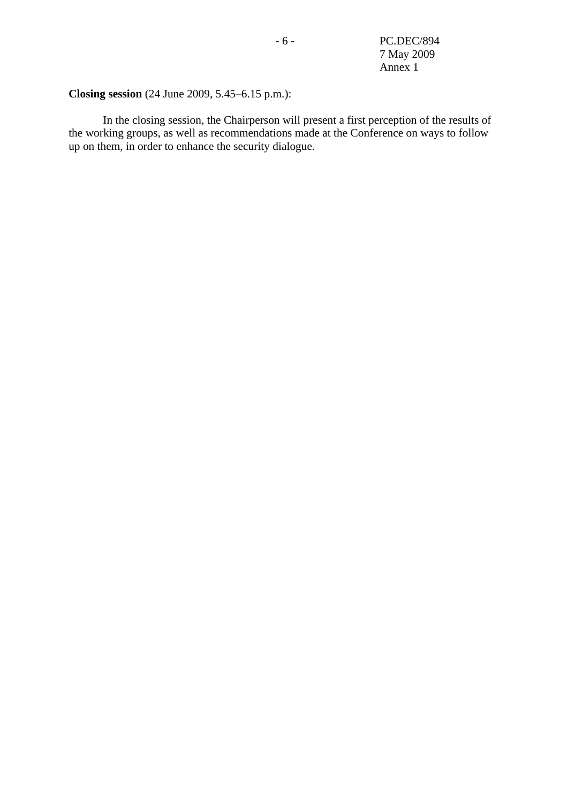- 6 - PC.DEC/894 7 May 2009 Annex 1

# **Closing session** (24 June 2009, 5.45–6.15 p.m.):

 In the closing session, the Chairperson will present a first perception of the results of the working groups, as well as recommendations made at the Conference on ways to follow up on them, in order to enhance the security dialogue.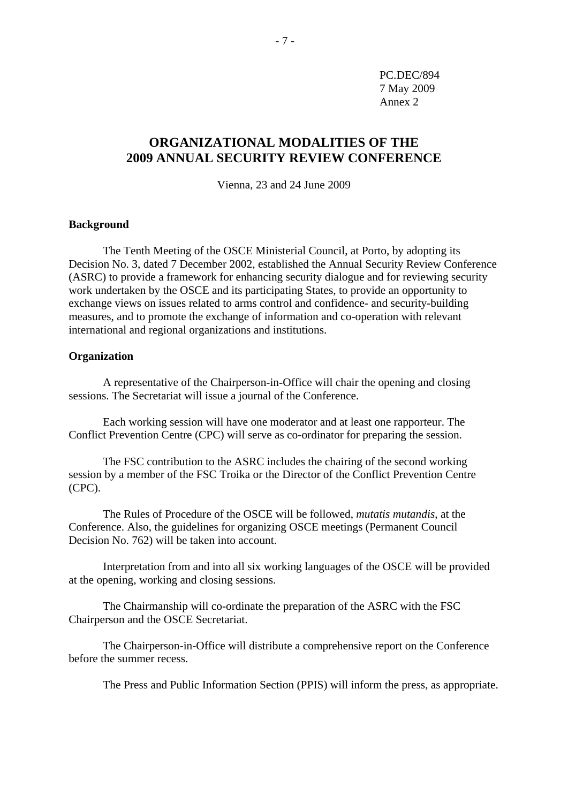PC.DEC/894 7 May 2009 Annex 2

# **ORGANIZATIONAL MODALITIES OF THE 2009 ANNUAL SECURITY REVIEW CONFERENCE**

Vienna, 23 and 24 June 2009

### **Background**

 The Tenth Meeting of the OSCE Ministerial Council, at Porto, by adopting its Decision No. 3, dated 7 December 2002, established the Annual Security Review Conference (ASRC) to provide a framework for enhancing security dialogue and for reviewing security work undertaken by the OSCE and its participating States, to provide an opportunity to exchange views on issues related to arms control and confidence- and security-building measures, and to promote the exchange of information and co-operation with relevant international and regional organizations and institutions.

#### **Organization**

 A representative of the Chairperson-in-Office will chair the opening and closing sessions. The Secretariat will issue a journal of the Conference.

 Each working session will have one moderator and at least one rapporteur. The Conflict Prevention Centre (CPC) will serve as co-ordinator for preparing the session.

 The FSC contribution to the ASRC includes the chairing of the second working session by a member of the FSC Troika or the Director of the Conflict Prevention Centre (CPC).

 The Rules of Procedure of the OSCE will be followed, *mutatis mutandis*, at the Conference. Also, the guidelines for organizing OSCE meetings (Permanent Council Decision No. 762) will be taken into account.

 Interpretation from and into all six working languages of the OSCE will be provided at the opening, working and closing sessions.

 The Chairmanship will co-ordinate the preparation of the ASRC with the FSC Chairperson and the OSCE Secretariat.

 The Chairperson-in-Office will distribute a comprehensive report on the Conference before the summer recess.

The Press and Public Information Section (PPIS) will inform the press, as appropriate.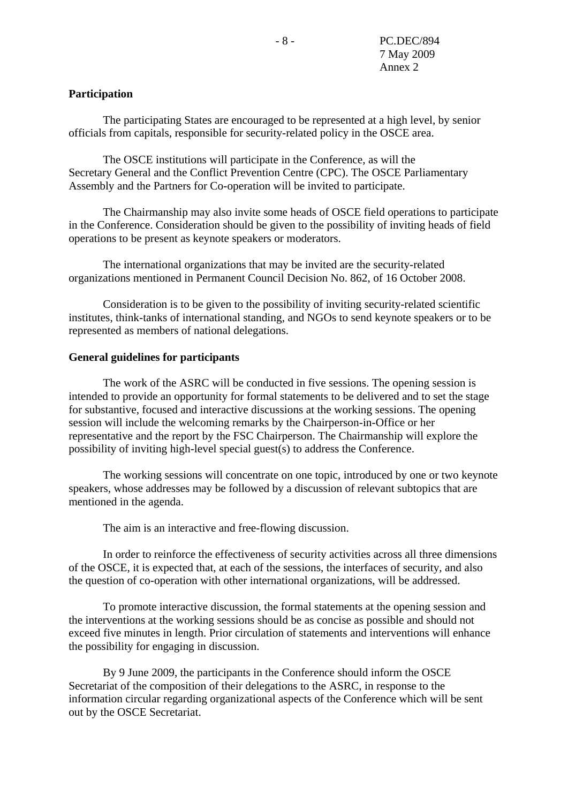### **Participation**

 The participating States are encouraged to be represented at a high level, by senior officials from capitals, responsible for security-related policy in the OSCE area.

 The OSCE institutions will participate in the Conference, as will the Secretary General and the Conflict Prevention Centre (CPC). The OSCE Parliamentary Assembly and the Partners for Co-operation will be invited to participate.

 The Chairmanship may also invite some heads of OSCE field operations to participate in the Conference. Consideration should be given to the possibility of inviting heads of field operations to be present as keynote speakers or moderators.

 The international organizations that may be invited are the security-related organizations mentioned in Permanent Council Decision No. 862, of 16 October 2008.

 Consideration is to be given to the possibility of inviting security-related scientific institutes, think-tanks of international standing, and NGOs to send keynote speakers or to be represented as members of national delegations.

#### **General guidelines for participants**

 The work of the ASRC will be conducted in five sessions. The opening session is intended to provide an opportunity for formal statements to be delivered and to set the stage for substantive, focused and interactive discussions at the working sessions. The opening session will include the welcoming remarks by the Chairperson-in-Office or her representative and the report by the FSC Chairperson. The Chairmanship will explore the possibility of inviting high-level special guest(s) to address the Conference.

 The working sessions will concentrate on one topic, introduced by one or two keynote speakers, whose addresses may be followed by a discussion of relevant subtopics that are mentioned in the agenda.

The aim is an interactive and free-flowing discussion.

 In order to reinforce the effectiveness of security activities across all three dimensions of the OSCE, it is expected that, at each of the sessions, the interfaces of security, and also the question of co-operation with other international organizations, will be addressed.

 To promote interactive discussion, the formal statements at the opening session and the interventions at the working sessions should be as concise as possible and should not exceed five minutes in length. Prior circulation of statements and interventions will enhance the possibility for engaging in discussion.

 By 9 June 2009, the participants in the Conference should inform the OSCE Secretariat of the composition of their delegations to the ASRC, in response to the information circular regarding organizational aspects of the Conference which will be sent out by the OSCE Secretariat.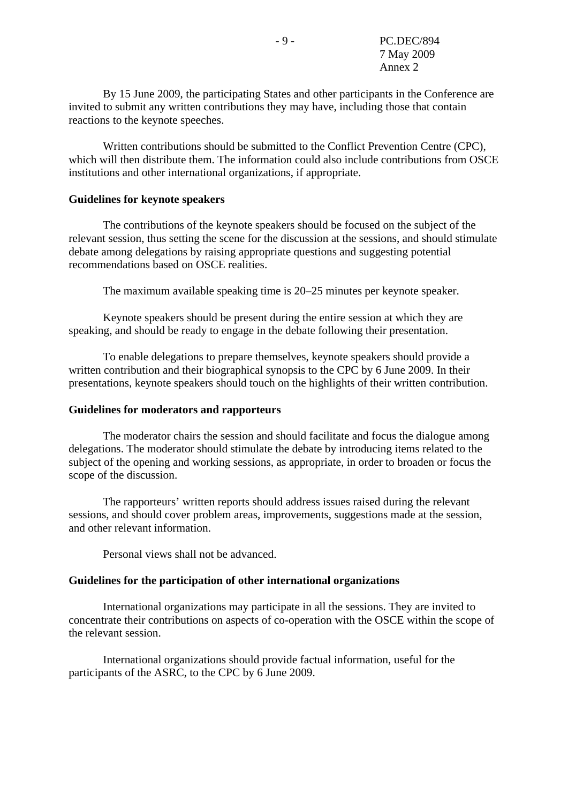By 15 June 2009, the participating States and other participants in the Conference are invited to submit any written contributions they may have, including those that contain reactions to the keynote speeches.

 Written contributions should be submitted to the Conflict Prevention Centre (CPC), which will then distribute them. The information could also include contributions from OSCE institutions and other international organizations, if appropriate.

#### **Guidelines for keynote speakers**

 The contributions of the keynote speakers should be focused on the subject of the relevant session, thus setting the scene for the discussion at the sessions, and should stimulate debate among delegations by raising appropriate questions and suggesting potential recommendations based on OSCE realities.

The maximum available speaking time is 20–25 minutes per keynote speaker.

 Keynote speakers should be present during the entire session at which they are speaking, and should be ready to engage in the debate following their presentation.

 To enable delegations to prepare themselves, keynote speakers should provide a written contribution and their biographical synopsis to the CPC by 6 June 2009. In their presentations, keynote speakers should touch on the highlights of their written contribution.

#### **Guidelines for moderators and rapporteurs**

 The moderator chairs the session and should facilitate and focus the dialogue among delegations. The moderator should stimulate the debate by introducing items related to the subject of the opening and working sessions, as appropriate, in order to broaden or focus the scope of the discussion.

 The rapporteurs' written reports should address issues raised during the relevant sessions, and should cover problem areas, improvements, suggestions made at the session, and other relevant information.

Personal views shall not be advanced.

#### **Guidelines for the participation of other international organizations**

 International organizations may participate in all the sessions. They are invited to concentrate their contributions on aspects of co-operation with the OSCE within the scope of the relevant session.

 International organizations should provide factual information, useful for the participants of the ASRC, to the CPC by 6 June 2009.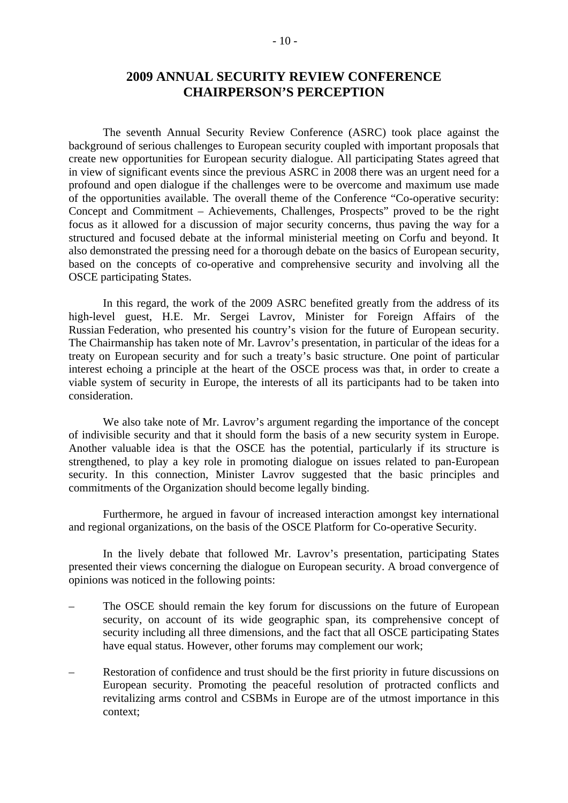# **2009 ANNUAL SECURITY REVIEW CONFERENCE CHAIRPERSON'S PERCEPTION**

 The seventh Annual Security Review Conference (ASRC) took place against the background of serious challenges to European security coupled with important proposals that create new opportunities for European security dialogue. All participating States agreed that in view of significant events since the previous ASRC in 2008 there was an urgent need for a profound and open dialogue if the challenges were to be overcome and maximum use made of the opportunities available. The overall theme of the Conference "Co-operative security: Concept and Commitment – Achievements, Challenges, Prospects" proved to be the right focus as it allowed for a discussion of major security concerns, thus paving the way for a structured and focused debate at the informal ministerial meeting on Corfu and beyond. It also demonstrated the pressing need for a thorough debate on the basics of European security, based on the concepts of co-operative and comprehensive security and involving all the OSCE participating States.

 In this regard, the work of the 2009 ASRC benefited greatly from the address of its high-level guest, H.E. Mr. Sergei Lavrov, Minister for Foreign Affairs of the Russian Federation, who presented his country's vision for the future of European security. The Chairmanship has taken note of Mr. Lavrov's presentation, in particular of the ideas for a treaty on European security and for such a treaty's basic structure. One point of particular interest echoing a principle at the heart of the OSCE process was that, in order to create a viable system of security in Europe, the interests of all its participants had to be taken into consideration.

 We also take note of Mr. Lavrov's argument regarding the importance of the concept of indivisible security and that it should form the basis of a new security system in Europe. Another valuable idea is that the OSCE has the potential, particularly if its structure is strengthened, to play a key role in promoting dialogue on issues related to pan-European security. In this connection, Minister Lavrov suggested that the basic principles and commitments of the Organization should become legally binding.

 Furthermore, he argued in favour of increased interaction amongst key international and regional organizations, on the basis of the OSCE Platform for Co-operative Security.

 In the lively debate that followed Mr. Lavrov's presentation, participating States presented their views concerning the dialogue on European security. A broad convergence of opinions was noticed in the following points:

- The OSCE should remain the key forum for discussions on the future of European security, on account of its wide geographic span, its comprehensive concept of security including all three dimensions, and the fact that all OSCE participating States have equal status. However, other forums may complement our work;
- Restoration of confidence and trust should be the first priority in future discussions on European security. Promoting the peaceful resolution of protracted conflicts and revitalizing arms control and CSBMs in Europe are of the utmost importance in this context;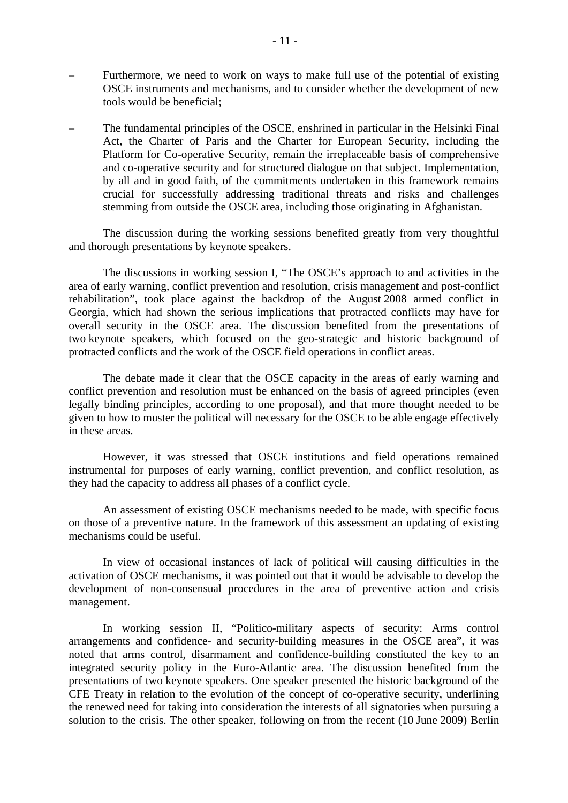- Furthermore, we need to work on ways to make full use of the potential of existing OSCE instruments and mechanisms, and to consider whether the development of new tools would be beneficial;
- The fundamental principles of the OSCE, enshrined in particular in the Helsinki Final Act, the Charter of Paris and the Charter for European Security, including the Platform for Co-operative Security, remain the irreplaceable basis of comprehensive and co-operative security and for structured dialogue on that subject. Implementation, by all and in good faith, of the commitments undertaken in this framework remains crucial for successfully addressing traditional threats and risks and challenges stemming from outside the OSCE area, including those originating in Afghanistan.

 The discussion during the working sessions benefited greatly from very thoughtful and thorough presentations by keynote speakers.

 The discussions in working session I, "The OSCE's approach to and activities in the area of early warning, conflict prevention and resolution, crisis management and post-conflict rehabilitation", took place against the backdrop of the August 2008 armed conflict in Georgia, which had shown the serious implications that protracted conflicts may have for overall security in the OSCE area. The discussion benefited from the presentations of two keynote speakers, which focused on the geo-strategic and historic background of protracted conflicts and the work of the OSCE field operations in conflict areas.

 The debate made it clear that the OSCE capacity in the areas of early warning and conflict prevention and resolution must be enhanced on the basis of agreed principles (even legally binding principles, according to one proposal), and that more thought needed to be given to how to muster the political will necessary for the OSCE to be able engage effectively in these areas.

 However, it was stressed that OSCE institutions and field operations remained instrumental for purposes of early warning, conflict prevention, and conflict resolution, as they had the capacity to address all phases of a conflict cycle.

 An assessment of existing OSCE mechanisms needed to be made, with specific focus on those of a preventive nature. In the framework of this assessment an updating of existing mechanisms could be useful.

 In view of occasional instances of lack of political will causing difficulties in the activation of OSCE mechanisms, it was pointed out that it would be advisable to develop the development of non-consensual procedures in the area of preventive action and crisis management.

 In working session II, "Politico-military aspects of security: Arms control arrangements and confidence- and security-building measures in the OSCE area", it was noted that arms control, disarmament and confidence-building constituted the key to an integrated security policy in the Euro-Atlantic area. The discussion benefited from the presentations of two keynote speakers. One speaker presented the historic background of the CFE Treaty in relation to the evolution of the concept of co-operative security, underlining the renewed need for taking into consideration the interests of all signatories when pursuing a solution to the crisis. The other speaker, following on from the recent (10 June 2009) Berlin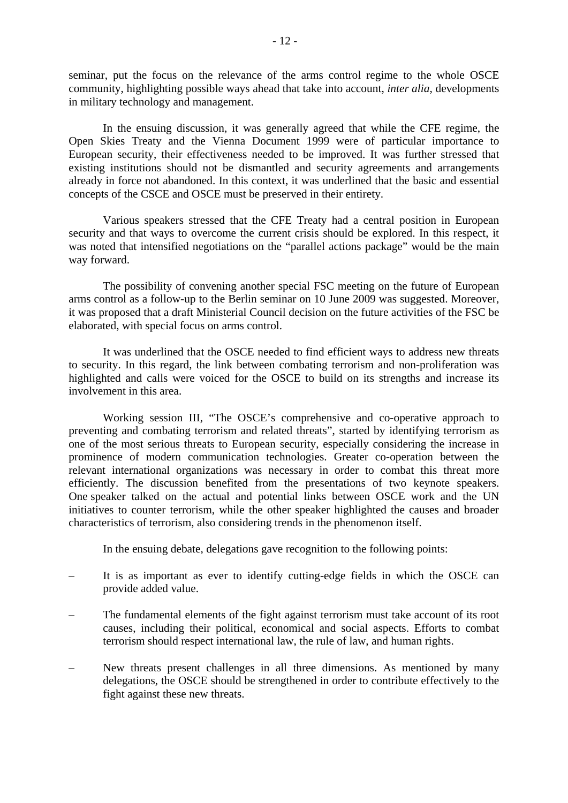seminar, put the focus on the relevance of the arms control regime to the whole OSCE community, highlighting possible ways ahead that take into account, *inter alia*, developments in military technology and management.

 In the ensuing discussion, it was generally agreed that while the CFE regime, the Open Skies Treaty and the Vienna Document 1999 were of particular importance to European security, their effectiveness needed to be improved. It was further stressed that existing institutions should not be dismantled and security agreements and arrangements already in force not abandoned. In this context, it was underlined that the basic and essential concepts of the CSCE and OSCE must be preserved in their entirety.

 Various speakers stressed that the CFE Treaty had a central position in European security and that ways to overcome the current crisis should be explored. In this respect, it was noted that intensified negotiations on the "parallel actions package" would be the main way forward.

 The possibility of convening another special FSC meeting on the future of European arms control as a follow-up to the Berlin seminar on 10 June 2009 was suggested. Moreover, it was proposed that a draft Ministerial Council decision on the future activities of the FSC be elaborated, with special focus on arms control.

 It was underlined that the OSCE needed to find efficient ways to address new threats to security. In this regard, the link between combating terrorism and non-proliferation was highlighted and calls were voiced for the OSCE to build on its strengths and increase its involvement in this area.

 Working session III, "The OSCE's comprehensive and co-operative approach to preventing and combating terrorism and related threats", started by identifying terrorism as one of the most serious threats to European security, especially considering the increase in prominence of modern communication technologies. Greater co-operation between the relevant international organizations was necessary in order to combat this threat more efficiently. The discussion benefited from the presentations of two keynote speakers. One speaker talked on the actual and potential links between OSCE work and the UN initiatives to counter terrorism, while the other speaker highlighted the causes and broader characteristics of terrorism, also considering trends in the phenomenon itself.

In the ensuing debate, delegations gave recognition to the following points:

- It is as important as ever to identify cutting-edge fields in which the OSCE can provide added value.
- The fundamental elements of the fight against terrorism must take account of its root causes, including their political, economical and social aspects. Efforts to combat terrorism should respect international law, the rule of law, and human rights.
- New threats present challenges in all three dimensions. As mentioned by many delegations, the OSCE should be strengthened in order to contribute effectively to the fight against these new threats.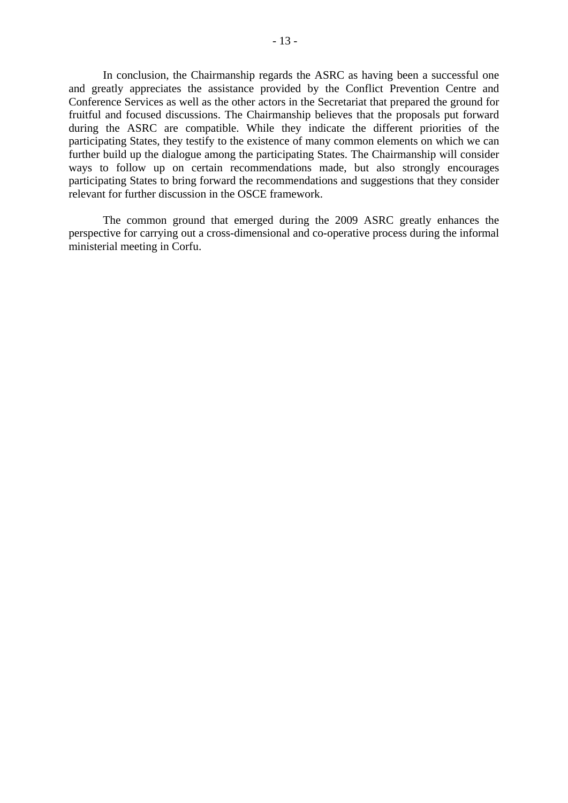In conclusion, the Chairmanship regards the ASRC as having been a successful one and greatly appreciates the assistance provided by the Conflict Prevention Centre and Conference Services as well as the other actors in the Secretariat that prepared the ground for fruitful and focused discussions. The Chairmanship believes that the proposals put forward during the ASRC are compatible. While they indicate the different priorities of the participating States, they testify to the existence of many common elements on which we can further build up the dialogue among the participating States. The Chairmanship will consider ways to follow up on certain recommendations made, but also strongly encourages participating States to bring forward the recommendations and suggestions that they consider relevant for further discussion in the OSCE framework.

 The common ground that emerged during the 2009 ASRC greatly enhances the perspective for carrying out a cross-dimensional and co-operative process during the informal ministerial meeting in Corfu.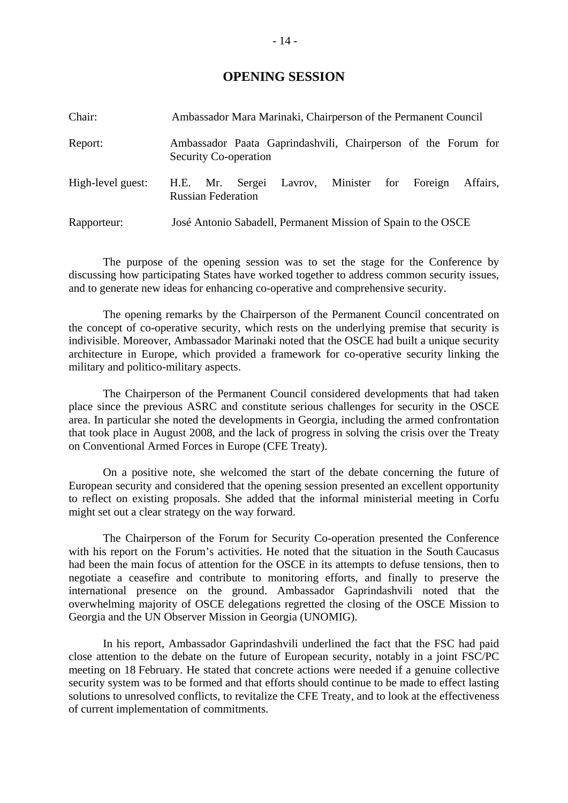## **OPENING SESSION**

| Chair:            | Ambassador Mara Marinaki, Chairperson of the Permanent Council                                |
|-------------------|-----------------------------------------------------------------------------------------------|
| Report:           | Ambassador Paata Gaprindashvili, Chairperson of the Forum for<br><b>Security Co-operation</b> |
| High-level guest: | H.E. Mr. Sergei Lavrov, Minister for Foreign<br>Affairs.<br><b>Russian Federation</b>         |
| Rapporteur:       | José Antonio Sabadell, Permanent Mission of Spain to the OSCE                                 |

 The purpose of the opening session was to set the stage for the Conference by discussing how participating States have worked together to address common security issues, and to generate new ideas for enhancing co-operative and comprehensive security.

 The opening remarks by the Chairperson of the Permanent Council concentrated on the concept of co-operative security, which rests on the underlying premise that security is indivisible. Moreover, Ambassador Marinaki noted that the OSCE had built a unique security architecture in Europe, which provided a framework for co-operative security linking the military and politico-military aspects.

 The Chairperson of the Permanent Council considered developments that had taken place since the previous ASRC and constitute serious challenges for security in the OSCE area. In particular she noted the developments in Georgia, including the armed confrontation that took place in August 2008, and the lack of progress in solving the crisis over the Treaty on Conventional Armed Forces in Europe (CFE Treaty).

 On a positive note, she welcomed the start of the debate concerning the future of European security and considered that the opening session presented an excellent opportunity to reflect on existing proposals. She added that the informal ministerial meeting in Corfu might set out a clear strategy on the way forward.

 The Chairperson of the Forum for Security Co-operation presented the Conference with his report on the Forum's activities. He noted that the situation in the South Caucasus had been the main focus of attention for the OSCE in its attempts to defuse tensions, then to negotiate a ceasefire and contribute to monitoring efforts, and finally to preserve the international presence on the ground. Ambassador Gaprindashvili noted that the overwhelming majority of OSCE delegations regretted the closing of the OSCE Mission to Georgia and the UN Observer Mission in Georgia (UNOMIG).

 In his report, Ambassador Gaprindashvili underlined the fact that the FSC had paid close attention to the debate on the future of European security, notably in a joint FSC/PC meeting on 18 February. He stated that concrete actions were needed if a genuine collective security system was to be formed and that efforts should continue to be made to effect lasting solutions to unresolved conflicts, to revitalize the CFE Treaty, and to look at the effectiveness of current implementation of commitments.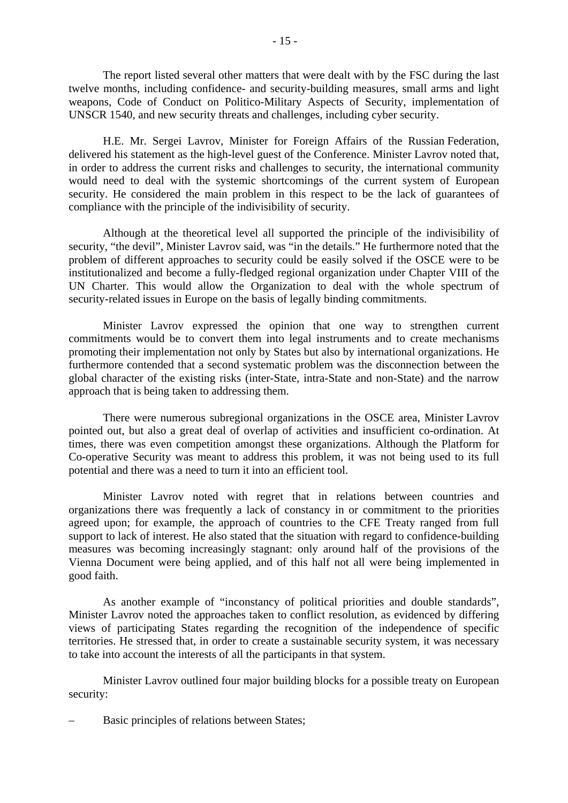The report listed several other matters that were dealt with by the FSC during the last twelve months, including confidence- and security-building measures, small arms and light weapons, Code of Conduct on Politico-Military Aspects of Security, implementation of UNSCR 1540, and new security threats and challenges, including cyber security.

 H.E. Mr. Sergei Lavrov, Minister for Foreign Affairs of the Russian Federation, delivered his statement as the high-level guest of the Conference. Minister Lavrov noted that, in order to address the current risks and challenges to security, the international community would need to deal with the systemic shortcomings of the current system of European security. He considered the main problem in this respect to be the lack of guarantees of compliance with the principle of the indivisibility of security.

 Although at the theoretical level all supported the principle of the indivisibility of security, "the devil", Minister Lavrov said, was "in the details." He furthermore noted that the problem of different approaches to security could be easily solved if the OSCE were to be institutionalized and become a fully-fledged regional organization under Chapter VIII of the UN Charter. This would allow the Organization to deal with the whole spectrum of security-related issues in Europe on the basis of legally binding commitments.

 Minister Lavrov expressed the opinion that one way to strengthen current commitments would be to convert them into legal instruments and to create mechanisms promoting their implementation not only by States but also by international organizations. He furthermore contended that a second systematic problem was the disconnection between the global character of the existing risks (inter-State, intra-State and non-State) and the narrow approach that is being taken to addressing them.

 There were numerous subregional organizations in the OSCE area, Minister Lavrov pointed out, but also a great deal of overlap of activities and insufficient co-ordination. At times, there was even competition amongst these organizations. Although the Platform for Co-operative Security was meant to address this problem, it was not being used to its full potential and there was a need to turn it into an efficient tool.

 Minister Lavrov noted with regret that in relations between countries and organizations there was frequently a lack of constancy in or commitment to the priorities agreed upon; for example, the approach of countries to the CFE Treaty ranged from full support to lack of interest. He also stated that the situation with regard to confidence-building measures was becoming increasingly stagnant: only around half of the provisions of the Vienna Document were being applied, and of this half not all were being implemented in good faith.

 As another example of "inconstancy of political priorities and double standards", Minister Lavrov noted the approaches taken to conflict resolution, as evidenced by differing views of participating States regarding the recognition of the independence of specific territories. He stressed that, in order to create a sustainable security system, it was necessary to take into account the interests of all the participants in that system.

 Minister Lavrov outlined four major building blocks for a possible treaty on European security:

– Basic principles of relations between States;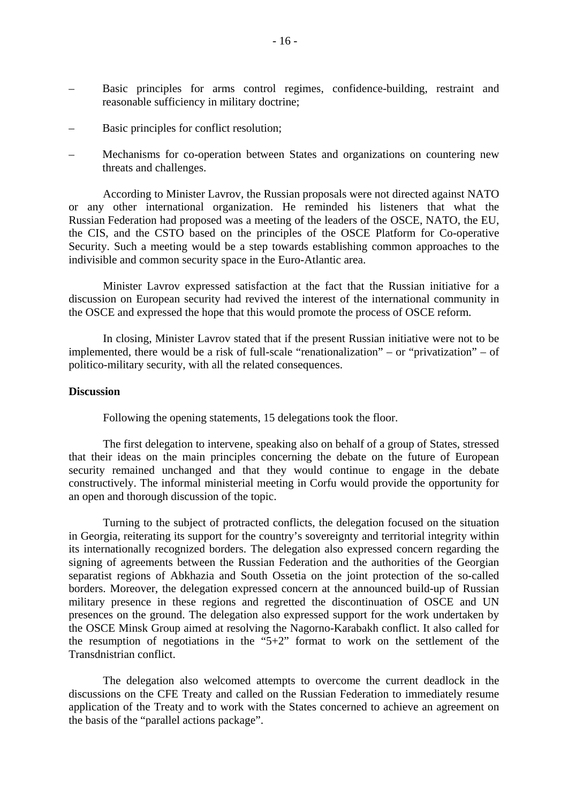- Basic principles for arms control regimes, confidence-building, restraint and reasonable sufficiency in military doctrine;
- Basic principles for conflict resolution;
- Mechanisms for co-operation between States and organizations on countering new threats and challenges.

 According to Minister Lavrov, the Russian proposals were not directed against NATO or any other international organization. He reminded his listeners that what the Russian Federation had proposed was a meeting of the leaders of the OSCE, NATO, the EU, the CIS, and the CSTO based on the principles of the OSCE Platform for Co-operative Security. Such a meeting would be a step towards establishing common approaches to the indivisible and common security space in the Euro-Atlantic area.

 Minister Lavrov expressed satisfaction at the fact that the Russian initiative for a discussion on European security had revived the interest of the international community in the OSCE and expressed the hope that this would promote the process of OSCE reform.

 In closing, Minister Lavrov stated that if the present Russian initiative were not to be implemented, there would be a risk of full-scale "renationalization" – or "privatization" – of politico-military security, with all the related consequences.

### **Discussion**

Following the opening statements, 15 delegations took the floor.

 The first delegation to intervene, speaking also on behalf of a group of States, stressed that their ideas on the main principles concerning the debate on the future of European security remained unchanged and that they would continue to engage in the debate constructively. The informal ministerial meeting in Corfu would provide the opportunity for an open and thorough discussion of the topic.

 Turning to the subject of protracted conflicts, the delegation focused on the situation in Georgia, reiterating its support for the country's sovereignty and territorial integrity within its internationally recognized borders. The delegation also expressed concern regarding the signing of agreements between the Russian Federation and the authorities of the Georgian separatist regions of Abkhazia and South Ossetia on the joint protection of the so-called borders. Moreover, the delegation expressed concern at the announced build-up of Russian military presence in these regions and regretted the discontinuation of OSCE and UN presences on the ground. The delegation also expressed support for the work undertaken by the OSCE Minsk Group aimed at resolving the Nagorno-Karabakh conflict. It also called for the resumption of negotiations in the "5+2" format to work on the settlement of the Transdnistrian conflict.

 The delegation also welcomed attempts to overcome the current deadlock in the discussions on the CFE Treaty and called on the Russian Federation to immediately resume application of the Treaty and to work with the States concerned to achieve an agreement on the basis of the "parallel actions package".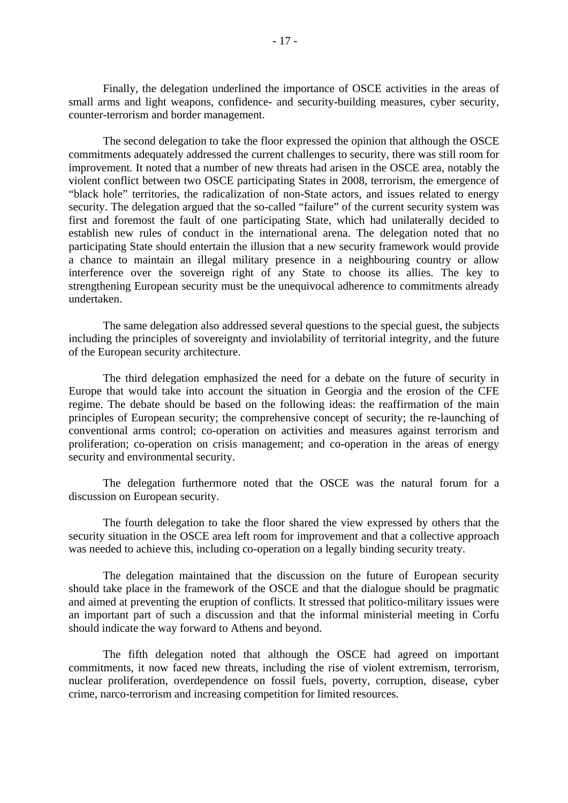Finally, the delegation underlined the importance of OSCE activities in the areas of small arms and light weapons, confidence- and security-building measures, cyber security, counter-terrorism and border management.

 The second delegation to take the floor expressed the opinion that although the OSCE commitments adequately addressed the current challenges to security, there was still room for improvement. It noted that a number of new threats had arisen in the OSCE area, notably the violent conflict between two OSCE participating States in 2008, terrorism, the emergence of "black hole" territories, the radicalization of non-State actors, and issues related to energy security. The delegation argued that the so-called "failure" of the current security system was first and foremost the fault of one participating State, which had unilaterally decided to establish new rules of conduct in the international arena. The delegation noted that no participating State should entertain the illusion that a new security framework would provide a chance to maintain an illegal military presence in a neighbouring country or allow interference over the sovereign right of any State to choose its allies. The key to strengthening European security must be the unequivocal adherence to commitments already undertaken.

 The same delegation also addressed several questions to the special guest, the subjects including the principles of sovereignty and inviolability of territorial integrity, and the future of the European security architecture.

 The third delegation emphasized the need for a debate on the future of security in Europe that would take into account the situation in Georgia and the erosion of the CFE regime. The debate should be based on the following ideas: the reaffirmation of the main principles of European security; the comprehensive concept of security; the re-launching of conventional arms control; co-operation on activities and measures against terrorism and proliferation; co-operation on crisis management; and co-operation in the areas of energy security and environmental security.

 The delegation furthermore noted that the OSCE was the natural forum for a discussion on European security.

 The fourth delegation to take the floor shared the view expressed by others that the security situation in the OSCE area left room for improvement and that a collective approach was needed to achieve this, including co-operation on a legally binding security treaty.

 The delegation maintained that the discussion on the future of European security should take place in the framework of the OSCE and that the dialogue should be pragmatic and aimed at preventing the eruption of conflicts. It stressed that politico-military issues were an important part of such a discussion and that the informal ministerial meeting in Corfu should indicate the way forward to Athens and beyond.

 The fifth delegation noted that although the OSCE had agreed on important commitments, it now faced new threats, including the rise of violent extremism, terrorism, nuclear proliferation, overdependence on fossil fuels, poverty, corruption, disease, cyber crime, narco-terrorism and increasing competition for limited resources.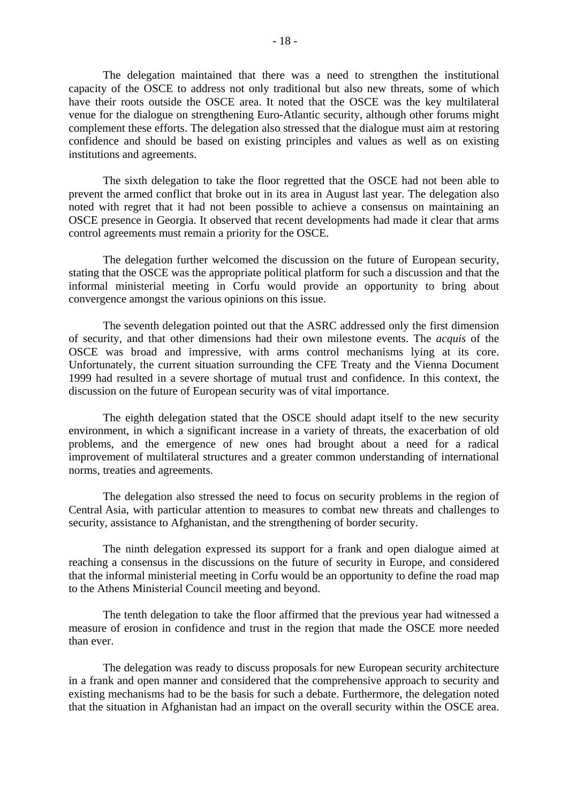The delegation maintained that there was a need to strengthen the institutional capacity of the OSCE to address not only traditional but also new threats, some of which have their roots outside the OSCE area. It noted that the OSCE was the key multilateral venue for the dialogue on strengthening Euro-Atlantic security, although other forums might complement these efforts. The delegation also stressed that the dialogue must aim at restoring confidence and should be based on existing principles and values as well as on existing institutions and agreements.

 The sixth delegation to take the floor regretted that the OSCE had not been able to prevent the armed conflict that broke out in its area in August last year. The delegation also noted with regret that it had not been possible to achieve a consensus on maintaining an OSCE presence in Georgia. It observed that recent developments had made it clear that arms control agreements must remain a priority for the OSCE.

 The delegation further welcomed the discussion on the future of European security, stating that the OSCE was the appropriate political platform for such a discussion and that the informal ministerial meeting in Corfu would provide an opportunity to bring about convergence amongst the various opinions on this issue.

 The seventh delegation pointed out that the ASRC addressed only the first dimension of security, and that other dimensions had their own milestone events. The *acquis* of the OSCE was broad and impressive, with arms control mechanisms lying at its core. Unfortunately, the current situation surrounding the CFE Treaty and the Vienna Document 1999 had resulted in a severe shortage of mutual trust and confidence. In this context, the discussion on the future of European security was of vital importance.

 The eighth delegation stated that the OSCE should adapt itself to the new security environment, in which a significant increase in a variety of threats, the exacerbation of old problems, and the emergence of new ones had brought about a need for a radical improvement of multilateral structures and a greater common understanding of international norms, treaties and agreements.

 The delegation also stressed the need to focus on security problems in the region of Central Asia, with particular attention to measures to combat new threats and challenges to security, assistance to Afghanistan, and the strengthening of border security.

 The ninth delegation expressed its support for a frank and open dialogue aimed at reaching a consensus in the discussions on the future of security in Europe, and considered that the informal ministerial meeting in Corfu would be an opportunity to define the road map to the Athens Ministerial Council meeting and beyond.

 The tenth delegation to take the floor affirmed that the previous year had witnessed a measure of erosion in confidence and trust in the region that made the OSCE more needed than ever.

 The delegation was ready to discuss proposals for new European security architecture in a frank and open manner and considered that the comprehensive approach to security and existing mechanisms had to be the basis for such a debate. Furthermore, the delegation noted that the situation in Afghanistan had an impact on the overall security within the OSCE area.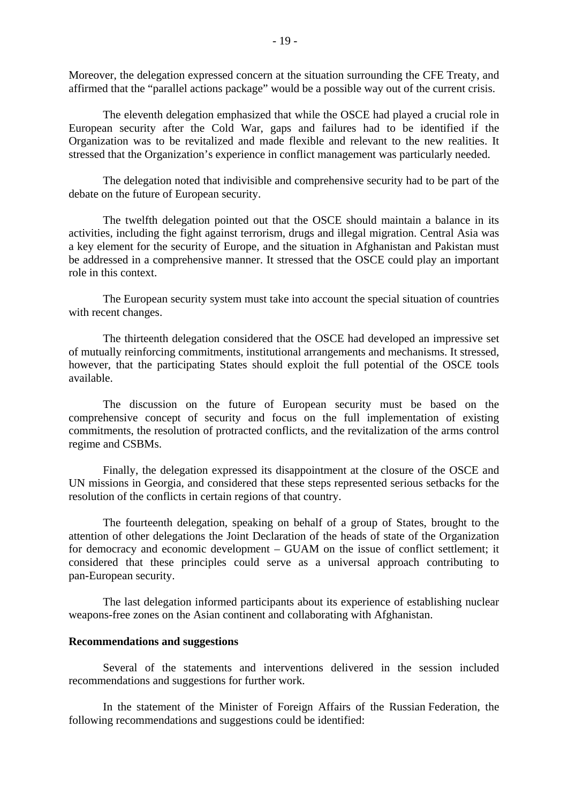Moreover, the delegation expressed concern at the situation surrounding the CFE Treaty, and affirmed that the "parallel actions package" would be a possible way out of the current crisis.

 The eleventh delegation emphasized that while the OSCE had played a crucial role in European security after the Cold War, gaps and failures had to be identified if the Organization was to be revitalized and made flexible and relevant to the new realities. It stressed that the Organization's experience in conflict management was particularly needed.

 The delegation noted that indivisible and comprehensive security had to be part of the debate on the future of European security.

 The twelfth delegation pointed out that the OSCE should maintain a balance in its activities, including the fight against terrorism, drugs and illegal migration. Central Asia was a key element for the security of Europe, and the situation in Afghanistan and Pakistan must be addressed in a comprehensive manner. It stressed that the OSCE could play an important role in this context.

 The European security system must take into account the special situation of countries with recent changes.

 The thirteenth delegation considered that the OSCE had developed an impressive set of mutually reinforcing commitments, institutional arrangements and mechanisms. It stressed, however, that the participating States should exploit the full potential of the OSCE tools available.

 The discussion on the future of European security must be based on the comprehensive concept of security and focus on the full implementation of existing commitments, the resolution of protracted conflicts, and the revitalization of the arms control regime and CSBMs.

 Finally, the delegation expressed its disappointment at the closure of the OSCE and UN missions in Georgia, and considered that these steps represented serious setbacks for the resolution of the conflicts in certain regions of that country.

 The fourteenth delegation, speaking on behalf of a group of States, brought to the attention of other delegations the Joint Declaration of the heads of state of the Organization for democracy and economic development – GUAM on the issue of conflict settlement; it considered that these principles could serve as a universal approach contributing to pan-European security.

 The last delegation informed participants about its experience of establishing nuclear weapons-free zones on the Asian continent and collaborating with Afghanistan.

### **Recommendations and suggestions**

 Several of the statements and interventions delivered in the session included recommendations and suggestions for further work.

 In the statement of the Minister of Foreign Affairs of the Russian Federation, the following recommendations and suggestions could be identified: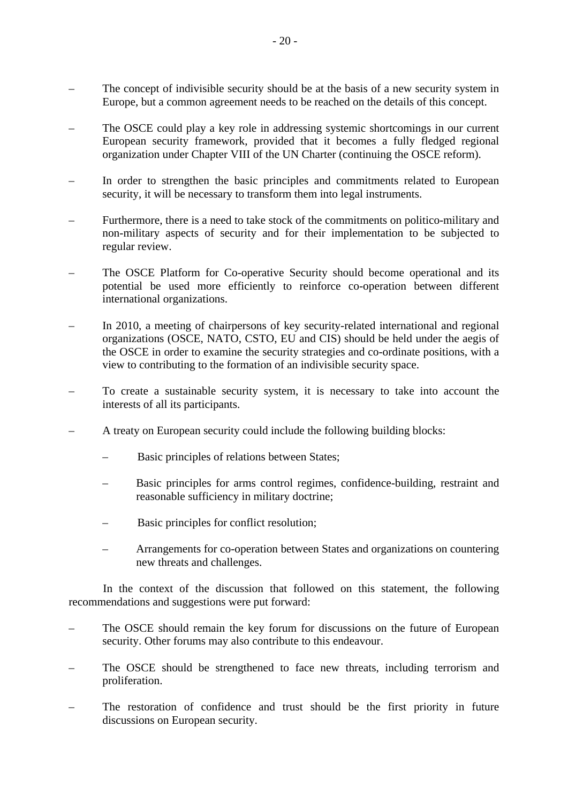- The concept of indivisible security should be at the basis of a new security system in Europe, but a common agreement needs to be reached on the details of this concept.
- The OSCE could play a key role in addressing systemic shortcomings in our current European security framework, provided that it becomes a fully fledged regional organization under Chapter VIII of the UN Charter (continuing the OSCE reform).
- In order to strengthen the basic principles and commitments related to European security, it will be necessary to transform them into legal instruments.
- Furthermore, there is a need to take stock of the commitments on politico-military and non-military aspects of security and for their implementation to be subjected to regular review.
- The OSCE Platform for Co-operative Security should become operational and its potential be used more efficiently to reinforce co-operation between different international organizations.
- In 2010, a meeting of chairpersons of key security-related international and regional organizations (OSCE, NATO, CSTO, EU and CIS) should be held under the aegis of the OSCE in order to examine the security strategies and co-ordinate positions, with a view to contributing to the formation of an indivisible security space.
- To create a sustainable security system, it is necessary to take into account the interests of all its participants.
- A treaty on European security could include the following building blocks:
	- Basic principles of relations between States;
	- Basic principles for arms control regimes, confidence-building, restraint and reasonable sufficiency in military doctrine;
	- Basic principles for conflict resolution;
	- Arrangements for co-operation between States and organizations on countering new threats and challenges.

 In the context of the discussion that followed on this statement, the following recommendations and suggestions were put forward:

- The OSCE should remain the key forum for discussions on the future of European security. Other forums may also contribute to this endeavour.
- The OSCE should be strengthened to face new threats, including terrorism and proliferation.
- The restoration of confidence and trust should be the first priority in future discussions on European security.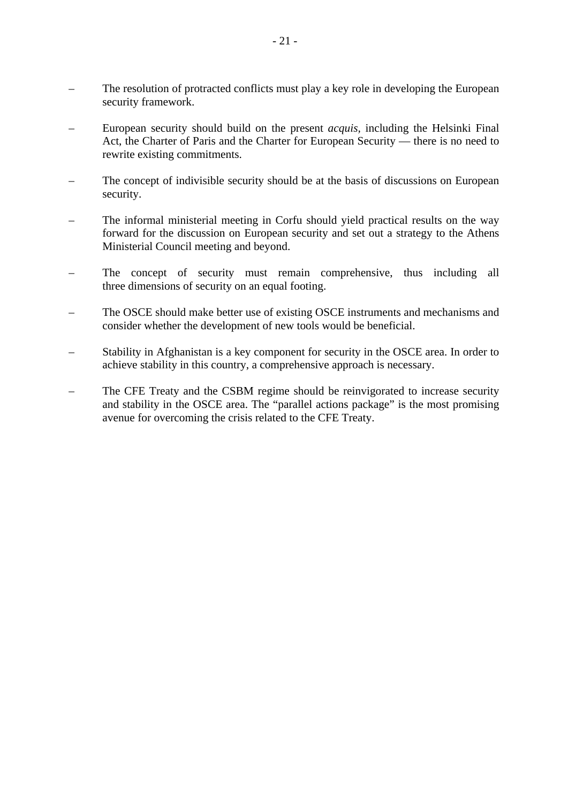- The resolution of protracted conflicts must play a key role in developing the European security framework.
- European security should build on the present *acquis,* including the Helsinki Final Act, the Charter of Paris and the Charter for European Security — there is no need to rewrite existing commitments.
- The concept of indivisible security should be at the basis of discussions on European security.
- The informal ministerial meeting in Corfu should yield practical results on the way forward for the discussion on European security and set out a strategy to the Athens Ministerial Council meeting and beyond.
- The concept of security must remain comprehensive, thus including all three dimensions of security on an equal footing.
- The OSCE should make better use of existing OSCE instruments and mechanisms and consider whether the development of new tools would be beneficial.
- Stability in Afghanistan is a key component for security in the OSCE area. In order to achieve stability in this country, a comprehensive approach is necessary.
- The CFE Treaty and the CSBM regime should be reinvigorated to increase security and stability in the OSCE area. The "parallel actions package" is the most promising avenue for overcoming the crisis related to the CFE Treaty.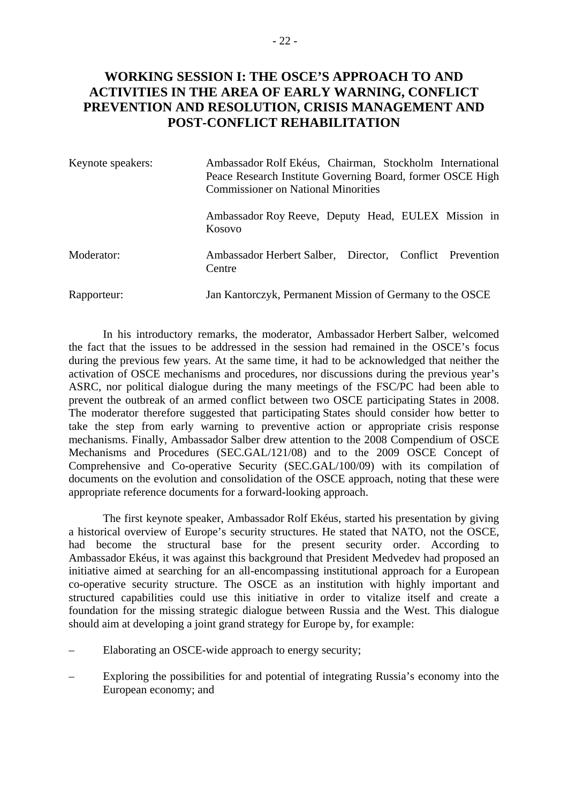# **WORKING SESSION I: THE OSCE'S APPROACH TO AND ACTIVITIES IN THE AREA OF EARLY WARNING, CONFLICT PREVENTION AND RESOLUTION, CRISIS MANAGEMENT AND POST-CONFLICT REHABILITATION**

| Keynote speakers: | Ambassador Rolf Ekéus, Chairman, Stockholm International<br>Peace Research Institute Governing Board, former OSCE High<br><b>Commissioner on National Minorities</b> |
|-------------------|----------------------------------------------------------------------------------------------------------------------------------------------------------------------|
|                   | Ambassador Roy Reeve, Deputy Head, EULEX Mission in<br>Kosovo                                                                                                        |
| Moderator:        | Ambassador Herbert Salber, Director, Conflict Prevention<br>Centre                                                                                                   |
| Rapporteur:       | Jan Kantorczyk, Permanent Mission of Germany to the OSCE                                                                                                             |

 In his introductory remarks, the moderator, Ambassador Herbert Salber, welcomed the fact that the issues to be addressed in the session had remained in the OSCE's focus during the previous few years. At the same time, it had to be acknowledged that neither the activation of OSCE mechanisms and procedures, nor discussions during the previous year's ASRC, nor political dialogue during the many meetings of the FSC/PC had been able to prevent the outbreak of an armed conflict between two OSCE participating States in 2008. The moderator therefore suggested that participating States should consider how better to take the step from early warning to preventive action or appropriate crisis response mechanisms. Finally, Ambassador Salber drew attention to the 2008 Compendium of OSCE Mechanisms and Procedures (SEC.GAL/121/08) and to the 2009 OSCE Concept of Comprehensive and Co-operative Security (SEC.GAL/100/09) with its compilation of documents on the evolution and consolidation of the OSCE approach, noting that these were appropriate reference documents for a forward-looking approach.

 The first keynote speaker, Ambassador Rolf Ekéus, started his presentation by giving a historical overview of Europe's security structures. He stated that NATO, not the OSCE, had become the structural base for the present security order. According to Ambassador Ekéus, it was against this background that President Medvedev had proposed an initiative aimed at searching for an all-encompassing institutional approach for a European co-operative security structure. The OSCE as an institution with highly important and structured capabilities could use this initiative in order to vitalize itself and create a foundation for the missing strategic dialogue between Russia and the West. This dialogue should aim at developing a joint grand strategy for Europe by, for example:

- Elaborating an OSCE-wide approach to energy security;
- Exploring the possibilities for and potential of integrating Russia's economy into the European economy; and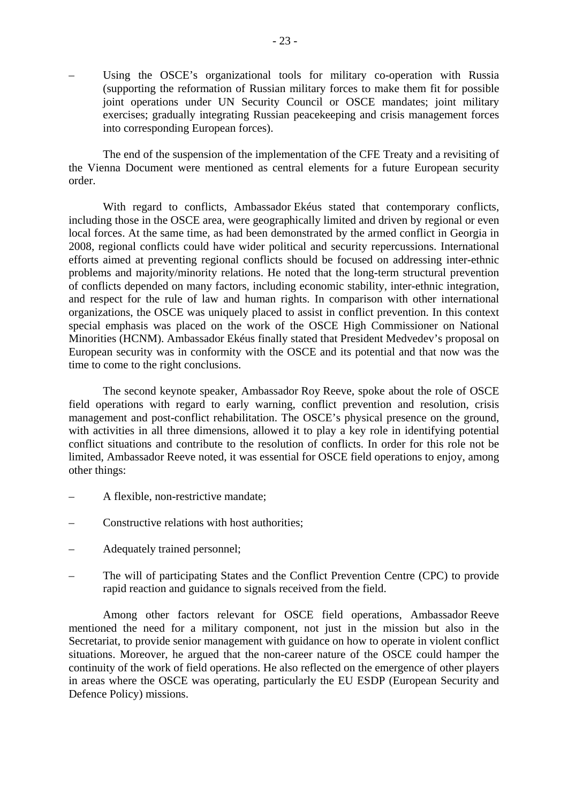Using the OSCE's organizational tools for military co-operation with Russia (supporting the reformation of Russian military forces to make them fit for possible joint operations under UN Security Council or OSCE mandates; joint military exercises; gradually integrating Russian peacekeeping and crisis management forces into corresponding European forces).

 The end of the suspension of the implementation of the CFE Treaty and a revisiting of the Vienna Document were mentioned as central elements for a future European security order.

 With regard to conflicts, Ambassador Ekéus stated that contemporary conflicts, including those in the OSCE area, were geographically limited and driven by regional or even local forces. At the same time, as had been demonstrated by the armed conflict in Georgia in 2008, regional conflicts could have wider political and security repercussions. International efforts aimed at preventing regional conflicts should be focused on addressing inter-ethnic problems and majority/minority relations. He noted that the long-term structural prevention of conflicts depended on many factors, including economic stability, inter-ethnic integration, and respect for the rule of law and human rights. In comparison with other international organizations, the OSCE was uniquely placed to assist in conflict prevention. In this context special emphasis was placed on the work of the OSCE High Commissioner on National Minorities (HCNM). Ambassador Ekéus finally stated that President Medvedev's proposal on European security was in conformity with the OSCE and its potential and that now was the time to come to the right conclusions.

 The second keynote speaker, Ambassador Roy Reeve, spoke about the role of OSCE field operations with regard to early warning, conflict prevention and resolution, crisis management and post-conflict rehabilitation. The OSCE's physical presence on the ground, with activities in all three dimensions, allowed it to play a key role in identifying potential conflict situations and contribute to the resolution of conflicts. In order for this role not be limited, Ambassador Reeve noted, it was essential for OSCE field operations to enjoy, among other things:

- A flexible, non-restrictive mandate;
- Constructive relations with host authorities;
- Adequately trained personnel;
- The will of participating States and the Conflict Prevention Centre (CPC) to provide rapid reaction and guidance to signals received from the field.

 Among other factors relevant for OSCE field operations, Ambassador Reeve mentioned the need for a military component, not just in the mission but also in the Secretariat, to provide senior management with guidance on how to operate in violent conflict situations. Moreover, he argued that the non-career nature of the OSCE could hamper the continuity of the work of field operations. He also reflected on the emergence of other players in areas where the OSCE was operating, particularly the EU ESDP (European Security and Defence Policy) missions.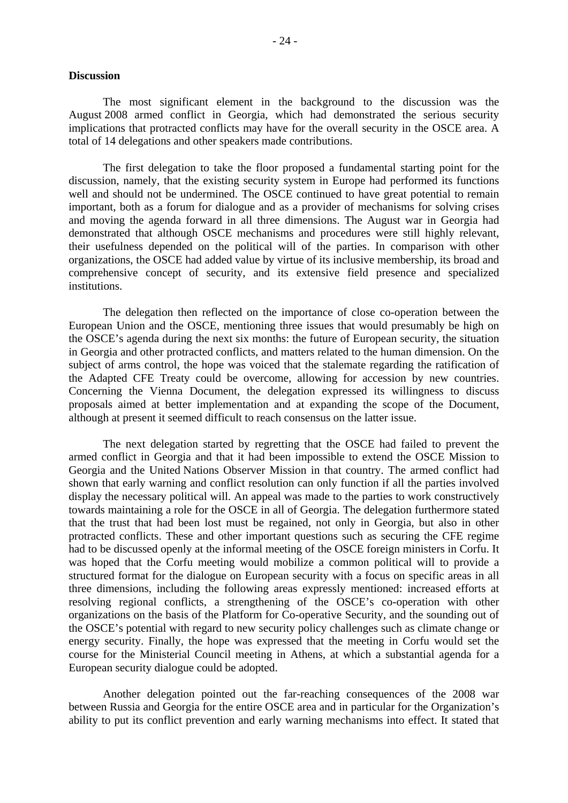#### **Discussion**

 The most significant element in the background to the discussion was the August 2008 armed conflict in Georgia, which had demonstrated the serious security implications that protracted conflicts may have for the overall security in the OSCE area. A total of 14 delegations and other speakers made contributions.

 The first delegation to take the floor proposed a fundamental starting point for the discussion, namely, that the existing security system in Europe had performed its functions well and should not be undermined. The OSCE continued to have great potential to remain important, both as a forum for dialogue and as a provider of mechanisms for solving crises and moving the agenda forward in all three dimensions. The August war in Georgia had demonstrated that although OSCE mechanisms and procedures were still highly relevant, their usefulness depended on the political will of the parties. In comparison with other organizations, the OSCE had added value by virtue of its inclusive membership, its broad and comprehensive concept of security, and its extensive field presence and specialized institutions.

 The delegation then reflected on the importance of close co-operation between the European Union and the OSCE, mentioning three issues that would presumably be high on the OSCE's agenda during the next six months: the future of European security, the situation in Georgia and other protracted conflicts, and matters related to the human dimension. On the subject of arms control, the hope was voiced that the stalemate regarding the ratification of the Adapted CFE Treaty could be overcome, allowing for accession by new countries. Concerning the Vienna Document, the delegation expressed its willingness to discuss proposals aimed at better implementation and at expanding the scope of the Document, although at present it seemed difficult to reach consensus on the latter issue.

 The next delegation started by regretting that the OSCE had failed to prevent the armed conflict in Georgia and that it had been impossible to extend the OSCE Mission to Georgia and the United Nations Observer Mission in that country. The armed conflict had shown that early warning and conflict resolution can only function if all the parties involved display the necessary political will. An appeal was made to the parties to work constructively towards maintaining a role for the OSCE in all of Georgia. The delegation furthermore stated that the trust that had been lost must be regained, not only in Georgia, but also in other protracted conflicts. These and other important questions such as securing the CFE regime had to be discussed openly at the informal meeting of the OSCE foreign ministers in Corfu. It was hoped that the Corfu meeting would mobilize a common political will to provide a structured format for the dialogue on European security with a focus on specific areas in all three dimensions, including the following areas expressly mentioned: increased efforts at resolving regional conflicts, a strengthening of the OSCE's co-operation with other organizations on the basis of the Platform for Co-operative Security, and the sounding out of the OSCE's potential with regard to new security policy challenges such as climate change or energy security. Finally, the hope was expressed that the meeting in Corfu would set the course for the Ministerial Council meeting in Athens, at which a substantial agenda for a European security dialogue could be adopted.

 Another delegation pointed out the far-reaching consequences of the 2008 war between Russia and Georgia for the entire OSCE area and in particular for the Organization's ability to put its conflict prevention and early warning mechanisms into effect. It stated that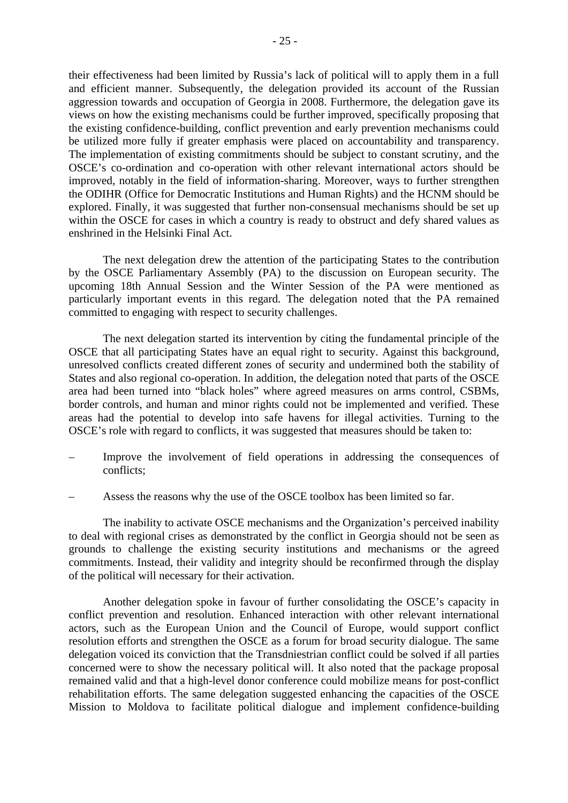their effectiveness had been limited by Russia's lack of political will to apply them in a full and efficient manner. Subsequently, the delegation provided its account of the Russian aggression towards and occupation of Georgia in 2008. Furthermore, the delegation gave its views on how the existing mechanisms could be further improved, specifically proposing that the existing confidence-building, conflict prevention and early prevention mechanisms could be utilized more fully if greater emphasis were placed on accountability and transparency. The implementation of existing commitments should be subject to constant scrutiny, and the OSCE's co-ordination and co-operation with other relevant international actors should be improved, notably in the field of information-sharing. Moreover, ways to further strengthen the ODIHR (Office for Democratic Institutions and Human Rights) and the HCNM should be explored. Finally, it was suggested that further non-consensual mechanisms should be set up within the OSCE for cases in which a country is ready to obstruct and defy shared values as enshrined in the Helsinki Final Act.

 The next delegation drew the attention of the participating States to the contribution by the OSCE Parliamentary Assembly (PA) to the discussion on European security. The upcoming 18th Annual Session and the Winter Session of the PA were mentioned as particularly important events in this regard. The delegation noted that the PA remained committed to engaging with respect to security challenges.

 The next delegation started its intervention by citing the fundamental principle of the OSCE that all participating States have an equal right to security. Against this background, unresolved conflicts created different zones of security and undermined both the stability of States and also regional co-operation. In addition, the delegation noted that parts of the OSCE area had been turned into "black holes" where agreed measures on arms control, CSBMs, border controls, and human and minor rights could not be implemented and verified. These areas had the potential to develop into safe havens for illegal activities. Turning to the OSCE's role with regard to conflicts, it was suggested that measures should be taken to:

- Improve the involvement of field operations in addressing the consequences of conflicts;
- Assess the reasons why the use of the OSCE toolbox has been limited so far.

 The inability to activate OSCE mechanisms and the Organization's perceived inability to deal with regional crises as demonstrated by the conflict in Georgia should not be seen as grounds to challenge the existing security institutions and mechanisms or the agreed commitments. Instead, their validity and integrity should be reconfirmed through the display of the political will necessary for their activation.

 Another delegation spoke in favour of further consolidating the OSCE's capacity in conflict prevention and resolution. Enhanced interaction with other relevant international actors, such as the European Union and the Council of Europe, would support conflict resolution efforts and strengthen the OSCE as a forum for broad security dialogue. The same delegation voiced its conviction that the Transdniestrian conflict could be solved if all parties concerned were to show the necessary political will. It also noted that the package proposal remained valid and that a high-level donor conference could mobilize means for post-conflict rehabilitation efforts. The same delegation suggested enhancing the capacities of the OSCE Mission to Moldova to facilitate political dialogue and implement confidence-building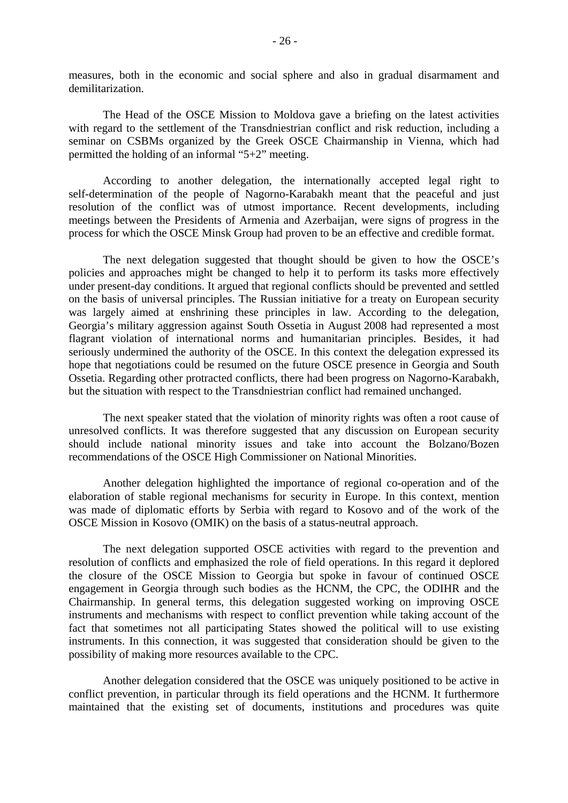measures, both in the economic and social sphere and also in gradual disarmament and demilitarization.

 The Head of the OSCE Mission to Moldova gave a briefing on the latest activities with regard to the settlement of the Transdniestrian conflict and risk reduction, including a seminar on CSBMs organized by the Greek OSCE Chairmanship in Vienna, which had permitted the holding of an informal "5+2" meeting.

 According to another delegation, the internationally accepted legal right to self-determination of the people of Nagorno-Karabakh meant that the peaceful and just resolution of the conflict was of utmost importance. Recent developments, including meetings between the Presidents of Armenia and Azerbaijan, were signs of progress in the process for which the OSCE Minsk Group had proven to be an effective and credible format.

 The next delegation suggested that thought should be given to how the OSCE's policies and approaches might be changed to help it to perform its tasks more effectively under present-day conditions. It argued that regional conflicts should be prevented and settled on the basis of universal principles. The Russian initiative for a treaty on European security was largely aimed at enshrining these principles in law. According to the delegation, Georgia's military aggression against South Ossetia in August 2008 had represented a most flagrant violation of international norms and humanitarian principles. Besides, it had seriously undermined the authority of the OSCE. In this context the delegation expressed its hope that negotiations could be resumed on the future OSCE presence in Georgia and South Ossetia. Regarding other protracted conflicts, there had been progress on Nagorno-Karabakh, but the situation with respect to the Transdniestrian conflict had remained unchanged.

 The next speaker stated that the violation of minority rights was often a root cause of unresolved conflicts. It was therefore suggested that any discussion on European security should include national minority issues and take into account the Bolzano/Bozen recommendations of the OSCE High Commissioner on National Minorities.

 Another delegation highlighted the importance of regional co-operation and of the elaboration of stable regional mechanisms for security in Europe. In this context, mention was made of diplomatic efforts by Serbia with regard to Kosovo and of the work of the OSCE Mission in Kosovo (OMIK) on the basis of a status-neutral approach.

 The next delegation supported OSCE activities with regard to the prevention and resolution of conflicts and emphasized the role of field operations. In this regard it deplored the closure of the OSCE Mission to Georgia but spoke in favour of continued OSCE engagement in Georgia through such bodies as the HCNM, the CPC, the ODIHR and the Chairmanship. In general terms, this delegation suggested working on improving OSCE instruments and mechanisms with respect to conflict prevention while taking account of the fact that sometimes not all participating States showed the political will to use existing instruments. In this connection, it was suggested that consideration should be given to the possibility of making more resources available to the CPC.

 Another delegation considered that the OSCE was uniquely positioned to be active in conflict prevention, in particular through its field operations and the HCNM. It furthermore maintained that the existing set of documents, institutions and procedures was quite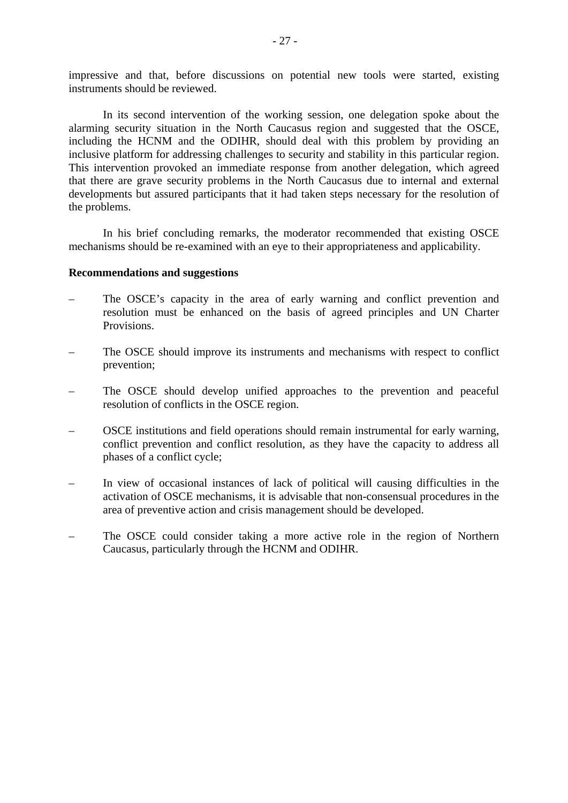impressive and that, before discussions on potential new tools were started, existing instruments should be reviewed.

 In its second intervention of the working session, one delegation spoke about the alarming security situation in the North Caucasus region and suggested that the OSCE, including the HCNM and the ODIHR, should deal with this problem by providing an inclusive platform for addressing challenges to security and stability in this particular region. This intervention provoked an immediate response from another delegation, which agreed that there are grave security problems in the North Caucasus due to internal and external developments but assured participants that it had taken steps necessary for the resolution of the problems.

 In his brief concluding remarks, the moderator recommended that existing OSCE mechanisms should be re-examined with an eye to their appropriateness and applicability.

#### **Recommendations and suggestions**

- The OSCE's capacity in the area of early warning and conflict prevention and resolution must be enhanced on the basis of agreed principles and UN Charter Provisions.
- The OSCE should improve its instruments and mechanisms with respect to conflict prevention;
- The OSCE should develop unified approaches to the prevention and peaceful resolution of conflicts in the OSCE region.
- OSCE institutions and field operations should remain instrumental for early warning, conflict prevention and conflict resolution, as they have the capacity to address all phases of a conflict cycle;
- In view of occasional instances of lack of political will causing difficulties in the activation of OSCE mechanisms, it is advisable that non-consensual procedures in the area of preventive action and crisis management should be developed.
- The OSCE could consider taking a more active role in the region of Northern Caucasus, particularly through the HCNM and ODIHR.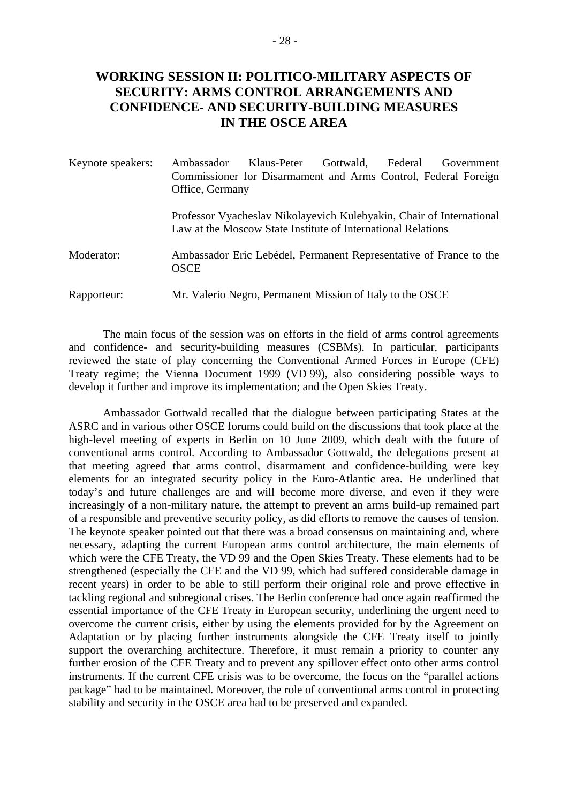# **WORKING SESSION II: POLITICO-MILITARY ASPECTS OF SECURITY: ARMS CONTROL ARRANGEMENTS AND CONFIDENCE- AND SECURITY-BUILDING MEASURES IN THE OSCE AREA**

| Keynote speakers: | Ambassador<br>Commissioner for Disarmament and Arms Control, Federal Foreign<br>Office, Germany                                      | Klaus-Peter | Gottwald, Federal | Government |
|-------------------|--------------------------------------------------------------------------------------------------------------------------------------|-------------|-------------------|------------|
|                   | Professor Vyacheslav Nikolayevich Kulebyakin, Chair of International<br>Law at the Moscow State Institute of International Relations |             |                   |            |
| Moderator:        | Ambassador Eric Lebédel, Permanent Representative of France to the<br><b>OSCE</b>                                                    |             |                   |            |
| Rapporteur:       | Mr. Valerio Negro, Permanent Mission of Italy to the OSCE                                                                            |             |                   |            |

 The main focus of the session was on efforts in the field of arms control agreements and confidence- and security-building measures (CSBMs). In particular, participants reviewed the state of play concerning the Conventional Armed Forces in Europe (CFE) Treaty regime; the Vienna Document 1999 (VD 99), also considering possible ways to develop it further and improve its implementation; and the Open Skies Treaty.

 Ambassador Gottwald recalled that the dialogue between participating States at the ASRC and in various other OSCE forums could build on the discussions that took place at the high-level meeting of experts in Berlin on 10 June 2009, which dealt with the future of conventional arms control. According to Ambassador Gottwald, the delegations present at that meeting agreed that arms control, disarmament and confidence-building were key elements for an integrated security policy in the Euro-Atlantic area. He underlined that today's and future challenges are and will become more diverse, and even if they were increasingly of a non-military nature, the attempt to prevent an arms build-up remained part of a responsible and preventive security policy, as did efforts to remove the causes of tension. The keynote speaker pointed out that there was a broad consensus on maintaining and, where necessary, adapting the current European arms control architecture, the main elements of which were the CFE Treaty, the VD 99 and the Open Skies Treaty. These elements had to be strengthened (especially the CFE and the VD 99, which had suffered considerable damage in recent years) in order to be able to still perform their original role and prove effective in tackling regional and subregional crises. The Berlin conference had once again reaffirmed the essential importance of the CFE Treaty in European security, underlining the urgent need to overcome the current crisis, either by using the elements provided for by the Agreement on Adaptation or by placing further instruments alongside the CFE Treaty itself to jointly support the overarching architecture. Therefore, it must remain a priority to counter any further erosion of the CFE Treaty and to prevent any spillover effect onto other arms control instruments. If the current CFE crisis was to be overcome, the focus on the "parallel actions package" had to be maintained. Moreover, the role of conventional arms control in protecting stability and security in the OSCE area had to be preserved and expanded.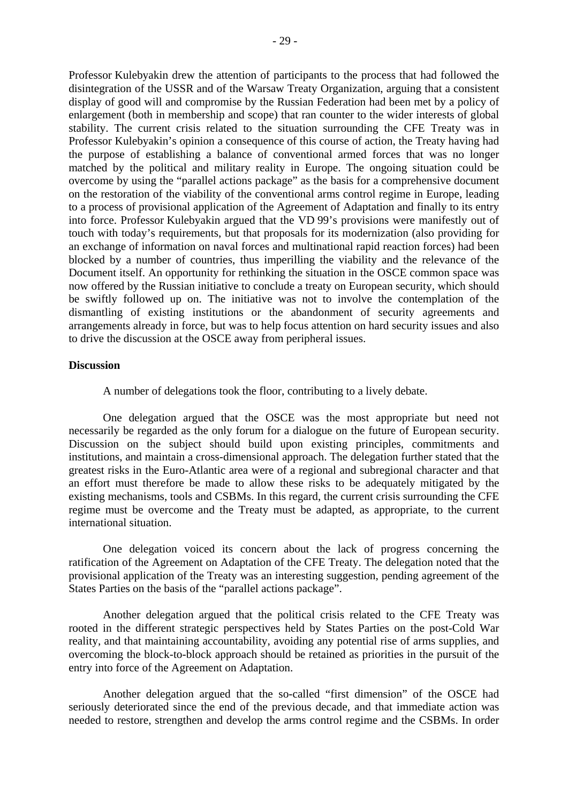Professor Kulebyakin drew the attention of participants to the process that had followed the disintegration of the USSR and of the Warsaw Treaty Organization, arguing that a consistent display of good will and compromise by the Russian Federation had been met by a policy of enlargement (both in membership and scope) that ran counter to the wider interests of global stability. The current crisis related to the situation surrounding the CFE Treaty was in Professor Kulebyakin's opinion a consequence of this course of action, the Treaty having had the purpose of establishing a balance of conventional armed forces that was no longer matched by the political and military reality in Europe. The ongoing situation could be overcome by using the "parallel actions package" as the basis for a comprehensive document on the restoration of the viability of the conventional arms control regime in Europe, leading to a process of provisional application of the Agreement of Adaptation and finally to its entry into force. Professor Kulebyakin argued that the VD 99's provisions were manifestly out of touch with today's requirements, but that proposals for its modernization (also providing for an exchange of information on naval forces and multinational rapid reaction forces) had been blocked by a number of countries, thus imperilling the viability and the relevance of the Document itself. An opportunity for rethinking the situation in the OSCE common space was now offered by the Russian initiative to conclude a treaty on European security, which should be swiftly followed up on. The initiative was not to involve the contemplation of the dismantling of existing institutions or the abandonment of security agreements and arrangements already in force, but was to help focus attention on hard security issues and also to drive the discussion at the OSCE away from peripheral issues.

### **Discussion**

A number of delegations took the floor, contributing to a lively debate.

 One delegation argued that the OSCE was the most appropriate but need not necessarily be regarded as the only forum for a dialogue on the future of European security. Discussion on the subject should build upon existing principles, commitments and institutions, and maintain a cross-dimensional approach. The delegation further stated that the greatest risks in the Euro-Atlantic area were of a regional and subregional character and that an effort must therefore be made to allow these risks to be adequately mitigated by the existing mechanisms, tools and CSBMs. In this regard, the current crisis surrounding the CFE regime must be overcome and the Treaty must be adapted, as appropriate, to the current international situation.

 One delegation voiced its concern about the lack of progress concerning the ratification of the Agreement on Adaptation of the CFE Treaty. The delegation noted that the provisional application of the Treaty was an interesting suggestion, pending agreement of the States Parties on the basis of the "parallel actions package".

 Another delegation argued that the political crisis related to the CFE Treaty was rooted in the different strategic perspectives held by States Parties on the post-Cold War reality, and that maintaining accountability, avoiding any potential rise of arms supplies, and overcoming the block-to-block approach should be retained as priorities in the pursuit of the entry into force of the Agreement on Adaptation.

 Another delegation argued that the so-called "first dimension" of the OSCE had seriously deteriorated since the end of the previous decade, and that immediate action was needed to restore, strengthen and develop the arms control regime and the CSBMs. In order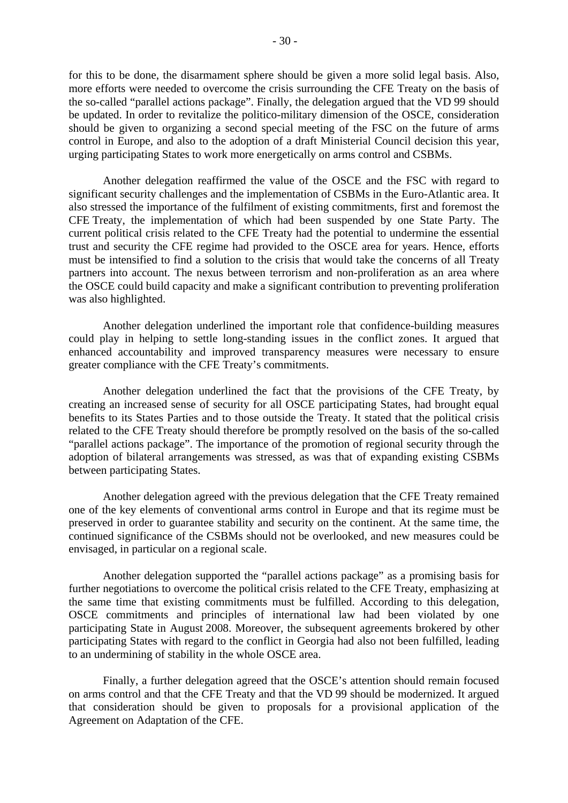for this to be done, the disarmament sphere should be given a more solid legal basis. Also, more efforts were needed to overcome the crisis surrounding the CFE Treaty on the basis of the so-called "parallel actions package". Finally, the delegation argued that the VD 99 should be updated. In order to revitalize the politico-military dimension of the OSCE, consideration should be given to organizing a second special meeting of the FSC on the future of arms control in Europe, and also to the adoption of a draft Ministerial Council decision this year, urging participating States to work more energetically on arms control and CSBMs.

 Another delegation reaffirmed the value of the OSCE and the FSC with regard to significant security challenges and the implementation of CSBMs in the Euro-Atlantic area. It also stressed the importance of the fulfilment of existing commitments, first and foremost the CFE Treaty, the implementation of which had been suspended by one State Party. The current political crisis related to the CFE Treaty had the potential to undermine the essential trust and security the CFE regime had provided to the OSCE area for years. Hence, efforts must be intensified to find a solution to the crisis that would take the concerns of all Treaty partners into account. The nexus between terrorism and non-proliferation as an area where the OSCE could build capacity and make a significant contribution to preventing proliferation was also highlighted.

 Another delegation underlined the important role that confidence-building measures could play in helping to settle long-standing issues in the conflict zones. It argued that enhanced accountability and improved transparency measures were necessary to ensure greater compliance with the CFE Treaty's commitments.

 Another delegation underlined the fact that the provisions of the CFE Treaty, by creating an increased sense of security for all OSCE participating States, had brought equal benefits to its States Parties and to those outside the Treaty. It stated that the political crisis related to the CFE Treaty should therefore be promptly resolved on the basis of the so-called "parallel actions package". The importance of the promotion of regional security through the adoption of bilateral arrangements was stressed, as was that of expanding existing CSBMs between participating States.

 Another delegation agreed with the previous delegation that the CFE Treaty remained one of the key elements of conventional arms control in Europe and that its regime must be preserved in order to guarantee stability and security on the continent. At the same time, the continued significance of the CSBMs should not be overlooked, and new measures could be envisaged, in particular on a regional scale.

 Another delegation supported the "parallel actions package" as a promising basis for further negotiations to overcome the political crisis related to the CFE Treaty, emphasizing at the same time that existing commitments must be fulfilled. According to this delegation, OSCE commitments and principles of international law had been violated by one participating State in August 2008. Moreover, the subsequent agreements brokered by other participating States with regard to the conflict in Georgia had also not been fulfilled, leading to an undermining of stability in the whole OSCE area.

 Finally, a further delegation agreed that the OSCE's attention should remain focused on arms control and that the CFE Treaty and that the VD 99 should be modernized. It argued that consideration should be given to proposals for a provisional application of the Agreement on Adaptation of the CFE.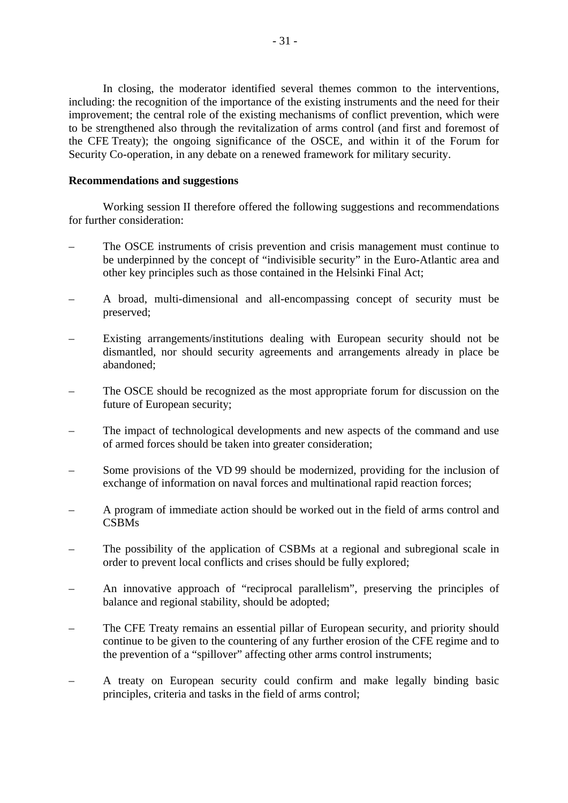In closing, the moderator identified several themes common to the interventions, including: the recognition of the importance of the existing instruments and the need for their improvement; the central role of the existing mechanisms of conflict prevention, which were to be strengthened also through the revitalization of arms control (and first and foremost of the CFE Treaty); the ongoing significance of the OSCE, and within it of the Forum for Security Co-operation, in any debate on a renewed framework for military security.

### **Recommendations and suggestions**

 Working session II therefore offered the following suggestions and recommendations for further consideration:

- The OSCE instruments of crisis prevention and crisis management must continue to be underpinned by the concept of "indivisible security" in the Euro-Atlantic area and other key principles such as those contained in the Helsinki Final Act;
- A broad, multi-dimensional and all-encompassing concept of security must be preserved;
- Existing arrangements/institutions dealing with European security should not be dismantled, nor should security agreements and arrangements already in place be abandoned;
- The OSCE should be recognized as the most appropriate forum for discussion on the future of European security;
- The impact of technological developments and new aspects of the command and use of armed forces should be taken into greater consideration;
- Some provisions of the VD 99 should be modernized, providing for the inclusion of exchange of information on naval forces and multinational rapid reaction forces;
- A program of immediate action should be worked out in the field of arms control and CSBMs
- The possibility of the application of CSBMs at a regional and subregional scale in order to prevent local conflicts and crises should be fully explored;
- An innovative approach of "reciprocal parallelism", preserving the principles of balance and regional stability, should be adopted;
- The CFE Treaty remains an essential pillar of European security, and priority should continue to be given to the countering of any further erosion of the CFE regime and to the prevention of a "spillover" affecting other arms control instruments;
- A treaty on European security could confirm and make legally binding basic principles, criteria and tasks in the field of arms control;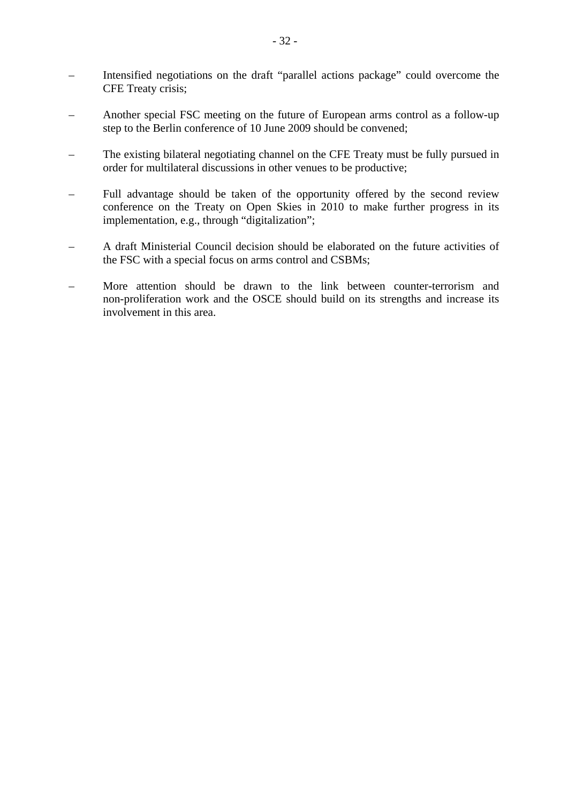- Intensified negotiations on the draft "parallel actions package" could overcome the CFE Treaty crisis;
- Another special FSC meeting on the future of European arms control as a follow-up step to the Berlin conference of 10 June 2009 should be convened;
- The existing bilateral negotiating channel on the CFE Treaty must be fully pursued in order for multilateral discussions in other venues to be productive;
- Full advantage should be taken of the opportunity offered by the second review conference on the Treaty on Open Skies in 2010 to make further progress in its implementation, e.g., through "digitalization";
- A draft Ministerial Council decision should be elaborated on the future activities of the FSC with a special focus on arms control and CSBMs;
- More attention should be drawn to the link between counter-terrorism and non-proliferation work and the OSCE should build on its strengths and increase its involvement in this area.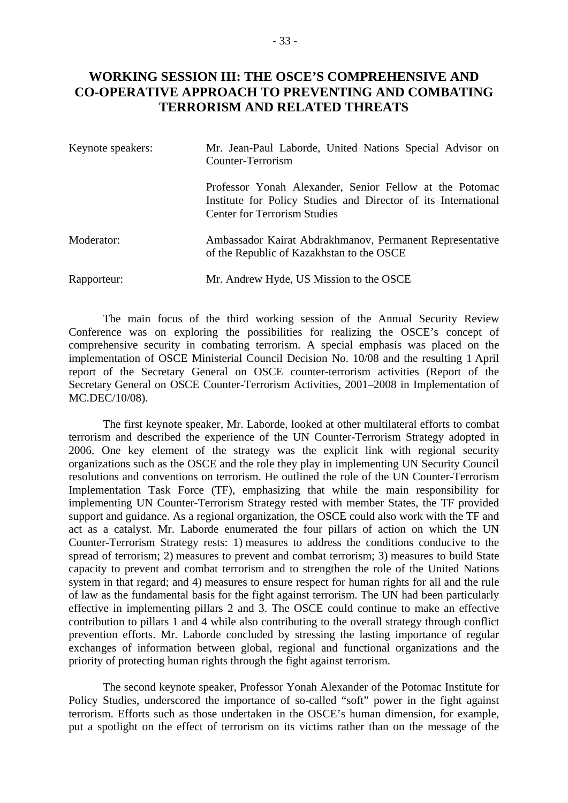# **WORKING SESSION III: THE OSCE'S COMPREHENSIVE AND CO-OPERATIVE APPROACH TO PREVENTING AND COMBATING TERRORISM AND RELATED THREATS**

| Keynote speakers: | Mr. Jean-Paul Laborde, United Nations Special Advisor on<br>Counter-Terrorism                                                                                    |  |  |  |
|-------------------|------------------------------------------------------------------------------------------------------------------------------------------------------------------|--|--|--|
|                   | Professor Yonah Alexander, Senior Fellow at the Potomac<br>Institute for Policy Studies and Director of its International<br><b>Center for Terrorism Studies</b> |  |  |  |
| Moderator:        | Ambassador Kairat Abdrakhmanov, Permanent Representative<br>of the Republic of Kazakhstan to the OSCE                                                            |  |  |  |
| Rapporteur:       | Mr. Andrew Hyde, US Mission to the OSCE                                                                                                                          |  |  |  |

 The main focus of the third working session of the Annual Security Review Conference was on exploring the possibilities for realizing the OSCE's concept of comprehensive security in combating terrorism. A special emphasis was placed on the implementation of OSCE Ministerial Council Decision No. 10/08 and the resulting 1 April report of the Secretary General on OSCE counter-terrorism activities (Report of the Secretary General on OSCE Counter-Terrorism Activities, 2001–2008 in Implementation of MC.DEC/10/08).

 The first keynote speaker, Mr. Laborde, looked at other multilateral efforts to combat terrorism and described the experience of the UN Counter-Terrorism Strategy adopted in 2006. One key element of the strategy was the explicit link with regional security organizations such as the OSCE and the role they play in implementing UN Security Council resolutions and conventions on terrorism. He outlined the role of the UN Counter-Terrorism Implementation Task Force (TF), emphasizing that while the main responsibility for implementing UN Counter-Terrorism Strategy rested with member States, the TF provided support and guidance. As a regional organization, the OSCE could also work with the TF and act as a catalyst. Mr. Laborde enumerated the four pillars of action on which the UN Counter-Terrorism Strategy rests: 1) measures to address the conditions conducive to the spread of terrorism; 2) measures to prevent and combat terrorism; 3) measures to build State capacity to prevent and combat terrorism and to strengthen the role of the United Nations system in that regard; and 4) measures to ensure respect for human rights for all and the rule of law as the fundamental basis for the fight against terrorism. The UN had been particularly effective in implementing pillars 2 and 3. The OSCE could continue to make an effective contribution to pillars 1 and 4 while also contributing to the overall strategy through conflict prevention efforts. Mr. Laborde concluded by stressing the lasting importance of regular exchanges of information between global, regional and functional organizations and the priority of protecting human rights through the fight against terrorism.

 The second keynote speaker, Professor Yonah Alexander of the Potomac Institute for Policy Studies, underscored the importance of so-called "soft" power in the fight against terrorism. Efforts such as those undertaken in the OSCE's human dimension, for example, put a spotlight on the effect of terrorism on its victims rather than on the message of the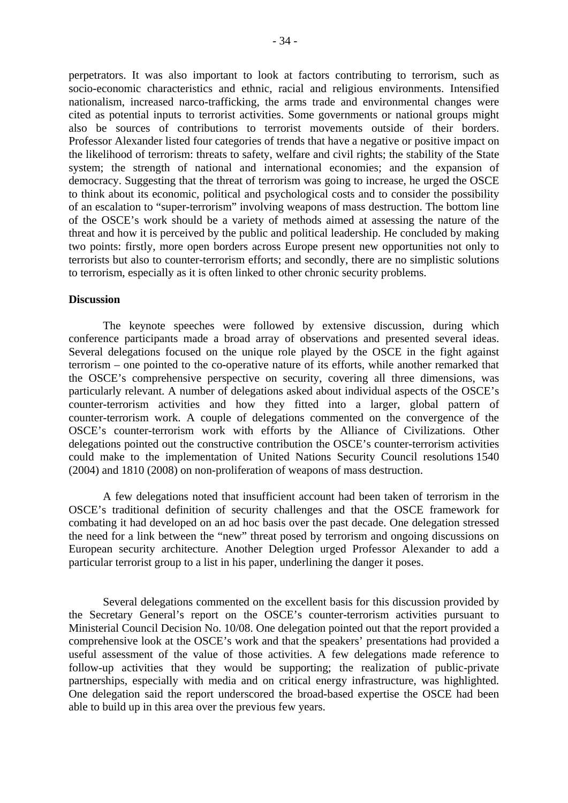perpetrators. It was also important to look at factors contributing to terrorism, such as socio-economic characteristics and ethnic, racial and religious environments. Intensified nationalism, increased narco-trafficking, the arms trade and environmental changes were cited as potential inputs to terrorist activities. Some governments or national groups might also be sources of contributions to terrorist movements outside of their borders. Professor Alexander listed four categories of trends that have a negative or positive impact on the likelihood of terrorism: threats to safety, welfare and civil rights; the stability of the State system; the strength of national and international economies; and the expansion of democracy. Suggesting that the threat of terrorism was going to increase, he urged the OSCE to think about its economic, political and psychological costs and to consider the possibility of an escalation to "super-terrorism" involving weapons of mass destruction. The bottom line of the OSCE's work should be a variety of methods aimed at assessing the nature of the threat and how it is perceived by the public and political leadership. He concluded by making

two points: firstly, more open borders across Europe present new opportunities not only to terrorists but also to counter-terrorism efforts; and secondly, there are no simplistic solutions to terrorism, especially as it is often linked to other chronic security problems.

#### **Discussion**

 The keynote speeches were followed by extensive discussion, during which conference participants made a broad array of observations and presented several ideas. Several delegations focused on the unique role played by the OSCE in the fight against terrorism – one pointed to the co-operative nature of its efforts, while another remarked that the OSCE's comprehensive perspective on security, covering all three dimensions, was particularly relevant. A number of delegations asked about individual aspects of the OSCE's counter-terrorism activities and how they fitted into a larger, global pattern of counter-terrorism work. A couple of delegations commented on the convergence of the OSCE's counter-terrorism work with efforts by the Alliance of Civilizations. Other delegations pointed out the constructive contribution the OSCE's counter-terrorism activities could make to the implementation of United Nations Security Council resolutions 1540 (2004) and 1810 (2008) on non-proliferation of weapons of mass destruction.

 A few delegations noted that insufficient account had been taken of terrorism in the OSCE's traditional definition of security challenges and that the OSCE framework for combating it had developed on an ad hoc basis over the past decade. One delegation stressed the need for a link between the "new" threat posed by terrorism and ongoing discussions on European security architecture. Another Delegtion urged Professor Alexander to add a particular terrorist group to a list in his paper, underlining the danger it poses.

 Several delegations commented on the excellent basis for this discussion provided by the Secretary General's report on the OSCE's counter-terrorism activities pursuant to Ministerial Council Decision No. 10/08. One delegation pointed out that the report provided a comprehensive look at the OSCE's work and that the speakers' presentations had provided a useful assessment of the value of those activities. A few delegations made reference to follow-up activities that they would be supporting; the realization of public-private partnerships, especially with media and on critical energy infrastructure, was highlighted. One delegation said the report underscored the broad-based expertise the OSCE had been able to build up in this area over the previous few years.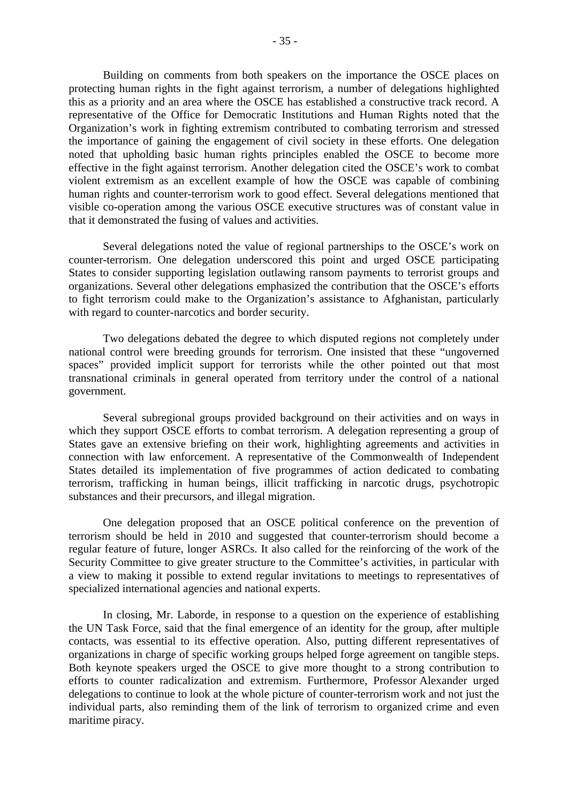Building on comments from both speakers on the importance the OSCE places on protecting human rights in the fight against terrorism, a number of delegations highlighted this as a priority and an area where the OSCE has established a constructive track record. A representative of the Office for Democratic Institutions and Human Rights noted that the Organization's work in fighting extremism contributed to combating terrorism and stressed the importance of gaining the engagement of civil society in these efforts. One delegation noted that upholding basic human rights principles enabled the OSCE to become more effective in the fight against terrorism. Another delegation cited the OSCE's work to combat violent extremism as an excellent example of how the OSCE was capable of combining human rights and counter-terrorism work to good effect. Several delegations mentioned that visible co-operation among the various OSCE executive structures was of constant value in that it demonstrated the fusing of values and activities.

 Several delegations noted the value of regional partnerships to the OSCE's work on counter-terrorism. One delegation underscored this point and urged OSCE participating States to consider supporting legislation outlawing ransom payments to terrorist groups and organizations. Several other delegations emphasized the contribution that the OSCE's efforts to fight terrorism could make to the Organization's assistance to Afghanistan, particularly with regard to counter-narcotics and border security.

 Two delegations debated the degree to which disputed regions not completely under national control were breeding grounds for terrorism. One insisted that these "ungoverned spaces" provided implicit support for terrorists while the other pointed out that most transnational criminals in general operated from territory under the control of a national government.

 Several subregional groups provided background on their activities and on ways in which they support OSCE efforts to combat terrorism. A delegation representing a group of States gave an extensive briefing on their work, highlighting agreements and activities in connection with law enforcement. A representative of the Commonwealth of Independent States detailed its implementation of five programmes of action dedicated to combating terrorism, trafficking in human beings, illicit trafficking in narcotic drugs, psychotropic substances and their precursors, and illegal migration.

 One delegation proposed that an OSCE political conference on the prevention of terrorism should be held in 2010 and suggested that counter-terrorism should become a regular feature of future, longer ASRCs. It also called for the reinforcing of the work of the Security Committee to give greater structure to the Committee's activities, in particular with a view to making it possible to extend regular invitations to meetings to representatives of specialized international agencies and national experts.

 In closing, Mr. Laborde, in response to a question on the experience of establishing the UN Task Force, said that the final emergence of an identity for the group, after multiple contacts, was essential to its effective operation. Also, putting different representatives of organizations in charge of specific working groups helped forge agreement on tangible steps. Both keynote speakers urged the OSCE to give more thought to a strong contribution to efforts to counter radicalization and extremism. Furthermore, Professor Alexander urged delegations to continue to look at the whole picture of counter-terrorism work and not just the individual parts, also reminding them of the link of terrorism to organized crime and even maritime piracy.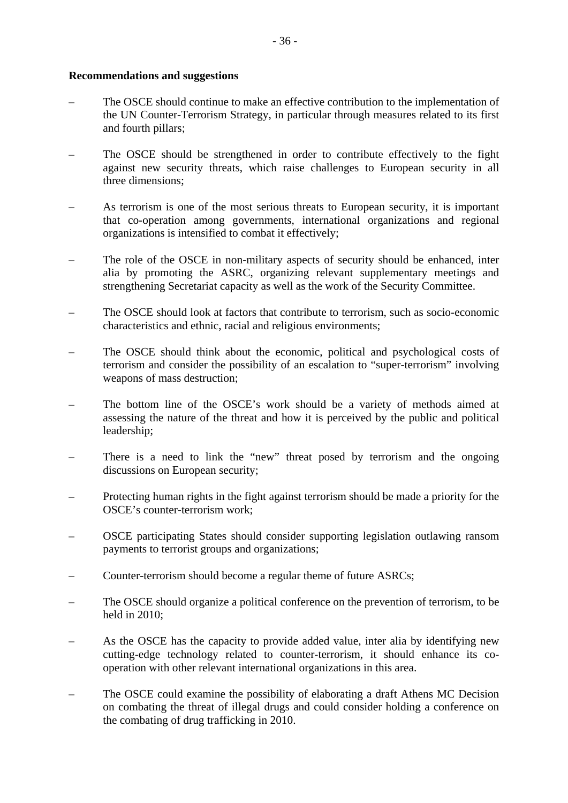### **Recommendations and suggestions**

- The OSCE should continue to make an effective contribution to the implementation of the UN Counter-Terrorism Strategy, in particular through measures related to its first and fourth pillars;
- The OSCE should be strengthened in order to contribute effectively to the fight against new security threats, which raise challenges to European security in all three dimensions;
- As terrorism is one of the most serious threats to European security, it is important that co-operation among governments, international organizations and regional organizations is intensified to combat it effectively;
- The role of the OSCE in non-military aspects of security should be enhanced, inter alia by promoting the ASRC, organizing relevant supplementary meetings and strengthening Secretariat capacity as well as the work of the Security Committee.
- The OSCE should look at factors that contribute to terrorism, such as socio-economic characteristics and ethnic, racial and religious environments;
- The OSCE should think about the economic, political and psychological costs of terrorism and consider the possibility of an escalation to "super-terrorism" involving weapons of mass destruction;
- The bottom line of the OSCE's work should be a variety of methods aimed at assessing the nature of the threat and how it is perceived by the public and political leadership;
- There is a need to link the "new" threat posed by terrorism and the ongoing discussions on European security;
- Protecting human rights in the fight against terrorism should be made a priority for the OSCE's counter-terrorism work;
- OSCE participating States should consider supporting legislation outlawing ransom payments to terrorist groups and organizations;
- Counter-terrorism should become a regular theme of future ASRCs;
- The OSCE should organize a political conference on the prevention of terrorism, to be held in 2010;
- As the OSCE has the capacity to provide added value, inter alia by identifying new cutting-edge technology related to counter-terrorism, it should enhance its cooperation with other relevant international organizations in this area.
- The OSCE could examine the possibility of elaborating a draft Athens MC Decision on combating the threat of illegal drugs and could consider holding a conference on the combating of drug trafficking in 2010.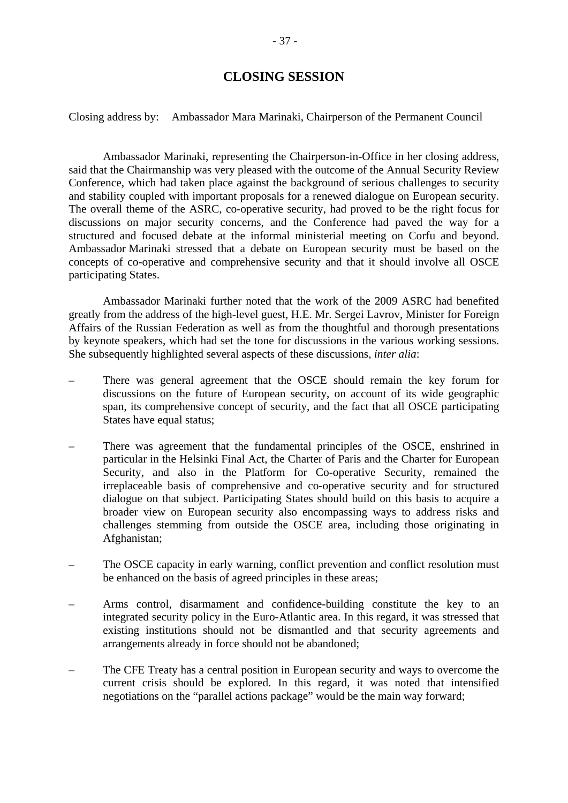# **CLOSING SESSION**

Closing address by: Ambassador Mara Marinaki, Chairperson of the Permanent Council

 Ambassador Marinaki, representing the Chairperson-in-Office in her closing address, said that the Chairmanship was very pleased with the outcome of the Annual Security Review Conference, which had taken place against the background of serious challenges to security and stability coupled with important proposals for a renewed dialogue on European security. The overall theme of the ASRC, co-operative security, had proved to be the right focus for discussions on major security concerns, and the Conference had paved the way for a structured and focused debate at the informal ministerial meeting on Corfu and beyond. Ambassador Marinaki stressed that a debate on European security must be based on the concepts of co-operative and comprehensive security and that it should involve all OSCE participating States.

 Ambassador Marinaki further noted that the work of the 2009 ASRC had benefited greatly from the address of the high-level guest, H.E. Mr. Sergei Lavrov, Minister for Foreign Affairs of the Russian Federation as well as from the thoughtful and thorough presentations by keynote speakers, which had set the tone for discussions in the various working sessions. She subsequently highlighted several aspects of these discussions, *inter alia*:

- There was general agreement that the OSCE should remain the key forum for discussions on the future of European security, on account of its wide geographic span, its comprehensive concept of security, and the fact that all OSCE participating States have equal status;
- There was agreement that the fundamental principles of the OSCE, enshrined in particular in the Helsinki Final Act, the Charter of Paris and the Charter for European Security, and also in the Platform for Co-operative Security, remained the irreplaceable basis of comprehensive and co-operative security and for structured dialogue on that subject. Participating States should build on this basis to acquire a broader view on European security also encompassing ways to address risks and challenges stemming from outside the OSCE area, including those originating in Afghanistan;
- The OSCE capacity in early warning, conflict prevention and conflict resolution must be enhanced on the basis of agreed principles in these areas;
- Arms control, disarmament and confidence-building constitute the key to an integrated security policy in the Euro-Atlantic area. In this regard, it was stressed that existing institutions should not be dismantled and that security agreements and arrangements already in force should not be abandoned;
- The CFE Treaty has a central position in European security and ways to overcome the current crisis should be explored. In this regard, it was noted that intensified negotiations on the "parallel actions package" would be the main way forward;